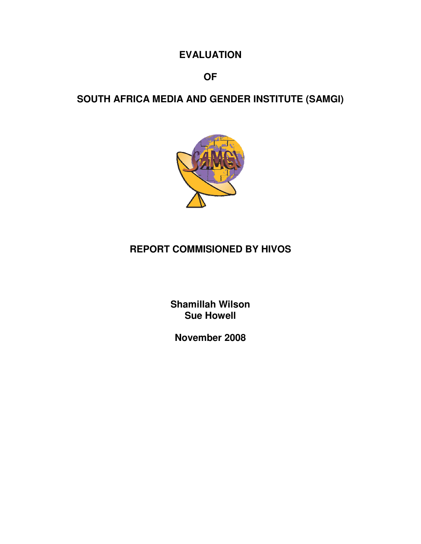## **EVALUATION**

## **OF**

# **SOUTH AFRICA MEDIA AND GENDER INSTITUTE (SAMGI)**



# **REPORT COMMISIONED BY HIVOS**

**Shamillah Wilson Sue Howell** 

**November 2008**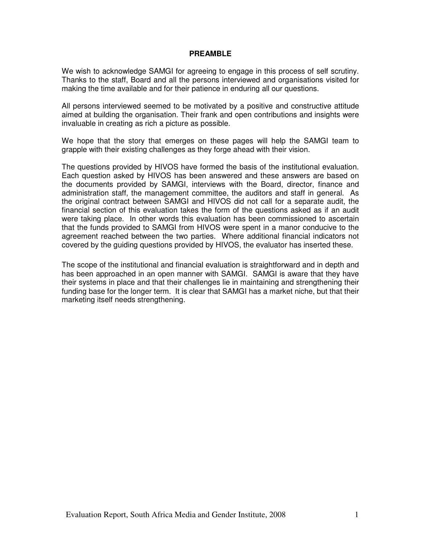#### **PREAMBLE**

We wish to acknowledge SAMGI for agreeing to engage in this process of self scrutiny. Thanks to the staff, Board and all the persons interviewed and organisations visited for making the time available and for their patience in enduring all our questions.

All persons interviewed seemed to be motivated by a positive and constructive attitude aimed at building the organisation. Their frank and open contributions and insights were invaluable in creating as rich a picture as possible.

We hope that the story that emerges on these pages will help the SAMGI team to grapple with their existing challenges as they forge ahead with their vision.

The questions provided by HIVOS have formed the basis of the institutional evaluation. Each question asked by HIVOS has been answered and these answers are based on the documents provided by SAMGI, interviews with the Board, director, finance and administration staff, the management committee, the auditors and staff in general. As the original contract between SAMGI and HIVOS did not call for a separate audit, the financial section of this evaluation takes the form of the questions asked as if an audit were taking place. In other words this evaluation has been commissioned to ascertain that the funds provided to SAMGI from HIVOS were spent in a manor conducive to the agreement reached between the two parties. Where additional financial indicators not covered by the guiding questions provided by HIVOS, the evaluator has inserted these.

The scope of the institutional and financial evaluation is straightforward and in depth and has been approached in an open manner with SAMGI. SAMGI is aware that they have their systems in place and that their challenges lie in maintaining and strengthening their funding base for the longer term. It is clear that SAMGI has a market niche, but that their marketing itself needs strengthening.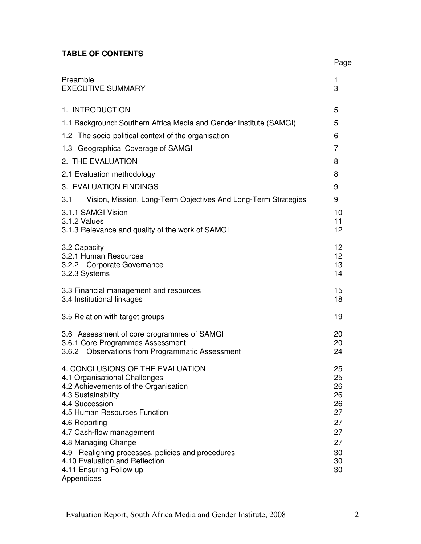## **TABLE OF CONTENTS**

|                                                                                                                                                                                                                                                                                                                                                                                          | Page                                                                 |
|------------------------------------------------------------------------------------------------------------------------------------------------------------------------------------------------------------------------------------------------------------------------------------------------------------------------------------------------------------------------------------------|----------------------------------------------------------------------|
| Preamble<br><b>EXECUTIVE SUMMARY</b>                                                                                                                                                                                                                                                                                                                                                     | 1<br>3                                                               |
| 1. INTRODUCTION                                                                                                                                                                                                                                                                                                                                                                          | 5                                                                    |
| 1.1 Background: Southern Africa Media and Gender Institute (SAMGI)                                                                                                                                                                                                                                                                                                                       | 5                                                                    |
| 1.2 The socio-political context of the organisation                                                                                                                                                                                                                                                                                                                                      | 6                                                                    |
| 1.3 Geographical Coverage of SAMGI                                                                                                                                                                                                                                                                                                                                                       | 7                                                                    |
| 2. THE EVALUATION                                                                                                                                                                                                                                                                                                                                                                        | 8                                                                    |
| 2.1 Evaluation methodology                                                                                                                                                                                                                                                                                                                                                               | 8                                                                    |
| 3. EVALUATION FINDINGS                                                                                                                                                                                                                                                                                                                                                                   | 9                                                                    |
| Vision, Mission, Long-Term Objectives And Long-Term Strategies<br>3.1                                                                                                                                                                                                                                                                                                                    | 9                                                                    |
| 3.1.1 SAMGI Vision<br>3.1.2 Values<br>3.1.3 Relevance and quality of the work of SAMGI                                                                                                                                                                                                                                                                                                   | 10<br>11<br>12                                                       |
| 3.2 Capacity<br>3.2.1 Human Resources<br>3.2.2 Corporate Governance<br>3.2.3 Systems                                                                                                                                                                                                                                                                                                     | 12<br>12 <sup>2</sup><br>13<br>14                                    |
| 3.3 Financial management and resources<br>3.4 Institutional linkages                                                                                                                                                                                                                                                                                                                     | 15<br>18                                                             |
| 3.5 Relation with target groups                                                                                                                                                                                                                                                                                                                                                          | 19                                                                   |
| 3.6 Assessment of core programmes of SAMGI<br>3.6.1 Core Programmes Assessment<br>3.6.2 Observations from Programmatic Assessment                                                                                                                                                                                                                                                        | 20<br>20<br>24                                                       |
| 4. CONCLUSIONS OF THE EVALUATION<br>4.1 Organisational Challenges<br>4.2 Achievements of the Organisation<br>4.3 Sustainability<br>4.4 Succession<br>4.5 Human Resources Function<br>4.6 Reporting<br>4.7 Cash-flow management<br>4.8 Managing Change<br>Realigning processes, policies and procedures<br>4.9<br>4.10 Evaluation and Reflection<br>4.11 Ensuring Follow-up<br>Appendices | 25<br>25<br>26<br>26<br>26<br>27<br>27<br>27<br>27<br>30<br>30<br>30 |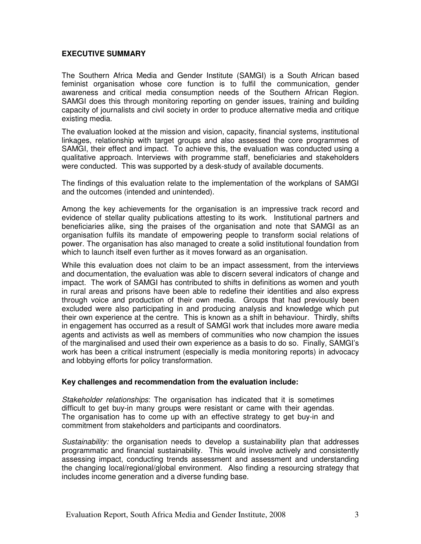#### **EXECUTIVE SUMMARY**

The Southern Africa Media and Gender Institute (SAMGI) is a South African based feminist organisation whose core function is to fulfil the communication, gender awareness and critical media consumption needs of the Southern African Region. SAMGI does this through monitoring reporting on gender issues, training and building capacity of journalists and civil society in order to produce alternative media and critique existing media.

The evaluation looked at the mission and vision, capacity, financial systems, institutional linkages, relationship with target groups and also assessed the core programmes of SAMGI, their effect and impact. To achieve this, the evaluation was conducted using a qualitative approach. Interviews with programme staff, beneficiaries and stakeholders were conducted. This was supported by a desk-study of available documents.

The findings of this evaluation relate to the implementation of the workplans of SAMGI and the outcomes (intended and unintended).

Among the key achievements for the organisation is an impressive track record and evidence of stellar quality publications attesting to its work. Institutional partners and beneficiaries alike, sing the praises of the organisation and note that SAMGI as an organisation fulfils its mandate of empowering people to transform social relations of power. The organisation has also managed to create a solid institutional foundation from which to launch itself even further as it moves forward as an organisation.

While this evaluation does not claim to be an impact assessment, from the interviews and documentation, the evaluation was able to discern several indicators of change and impact. The work of SAMGI has contributed to shifts in definitions as women and youth in rural areas and prisons have been able to redefine their identities and also express through voice and production of their own media. Groups that had previously been excluded were also participating in and producing analysis and knowledge which put their own experience at the centre. This is known as a shift in behaviour. Thirdly, shifts in engagement has occurred as a result of SAMGI work that includes more aware media agents and activists as well as members of communities who now champion the issues of the marginalised and used their own experience as a basis to do so. Finally, SAMGI's work has been a critical instrument (especially is media monitoring reports) in advocacy and lobbying efforts for policy transformation.

#### **Key challenges and recommendation from the evaluation include:**

Stakeholder relationships: The organisation has indicated that it is sometimes difficult to get buy-in many groups were resistant or came with their agendas. The organisation has to come up with an effective strategy to get buy-in and commitment from stakeholders and participants and coordinators.

Sustainability: the organisation needs to develop a sustainability plan that addresses programmatic and financial sustainability. This would involve actively and consistently assessing impact, conducting trends assessment and assessment and understanding the changing local/regional/global environment. Also finding a resourcing strategy that includes income generation and a diverse funding base.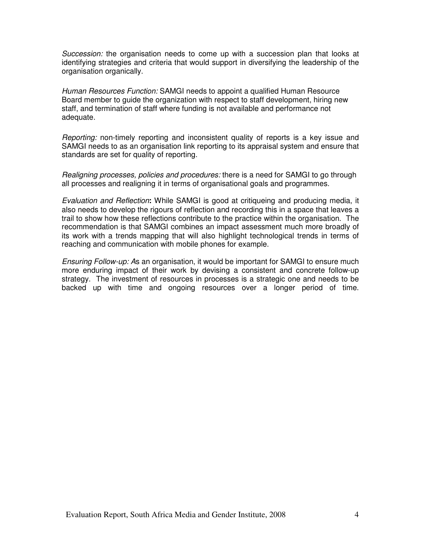Succession: the organisation needs to come up with a succession plan that looks at identifying strategies and criteria that would support in diversifying the leadership of the organisation organically.

Human Resources Function: SAMGI needs to appoint a qualified Human Resource Board member to guide the organization with respect to staff development, hiring new staff, and termination of staff where funding is not available and performance not adequate.

Reporting: non-timely reporting and inconsistent quality of reports is a key issue and SAMGI needs to as an organisation link reporting to its appraisal system and ensure that standards are set for quality of reporting.

Realigning processes, policies and procedures: there is a need for SAMGI to go through all processes and realigning it in terms of organisational goals and programmes.

Evaluation and Reflection**:** While SAMGI is good at critiqueing and producing media, it also needs to develop the rigours of reflection and recording this in a space that leaves a trail to show how these reflections contribute to the practice within the organisation. The recommendation is that SAMGI combines an impact assessment much more broadly of its work with a trends mapping that will also highlight technological trends in terms of reaching and communication with mobile phones for example.

Ensuring Follow-up: As an organisation, it would be important for SAMGI to ensure much more enduring impact of their work by devising a consistent and concrete follow-up strategy. The investment of resources in processes is a strategic one and needs to be backed up with time and ongoing resources over a longer period of time.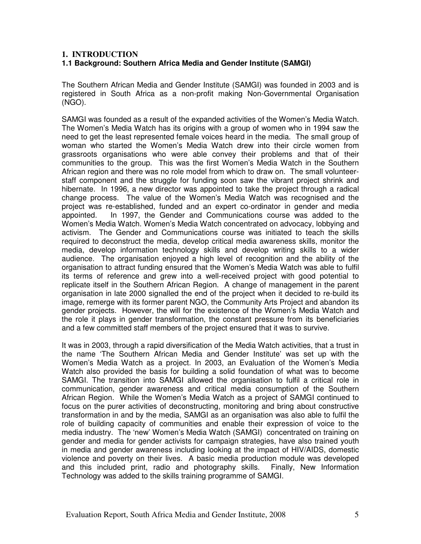## **1. INTRODUCTION 1.1 Background: Southern Africa Media and Gender Institute (SAMGI)**

The Southern African Media and Gender Institute (SAMGI) was founded in 2003 and is registered in South Africa as a non-profit making Non-Governmental Organisation (NGO).

SAMGI was founded as a result of the expanded activities of the Women's Media Watch. The Women's Media Watch has its origins with a group of women who in 1994 saw the need to get the least represented female voices heard in the media. The small group of woman who started the Women's Media Watch drew into their circle women from grassroots organisations who were able convey their problems and that of their communities to the group. This was the first Women's Media Watch in the Southern African region and there was no role model from which to draw on. The small volunteerstaff component and the struggle for funding soon saw the vibrant project shrink and hibernate. In 1996, a new director was appointed to take the project through a radical change process. The value of the Women's Media Watch was recognised and the project was re-established, funded and an expert co-ordinator in gender and media appointed. In 1997, the Gender and Communications course was added to the Women's Media Watch. Women's Media Watch concentrated on advocacy, lobbying and activism. The Gender and Communications course was initiated to teach the skills required to deconstruct the media, develop critical media awareness skills, monitor the media, develop information technology skills and develop writing skills to a wider audience. The organisation enjoyed a high level of recognition and the ability of the organisation to attract funding ensured that the Women's Media Watch was able to fulfil its terms of reference and grew into a well-received project with good potential to replicate itself in the Southern African Region. A change of management in the parent organisation in late 2000 signalled the end of the project when it decided to re-build its image, remerge with its former parent NGO, the Community Arts Project and abandon its gender projects. However, the will for the existence of the Women's Media Watch and the role it plays in gender transformation, the constant pressure from its beneficiaries and a few committed staff members of the project ensured that it was to survive.

It was in 2003, through a rapid diversification of the Media Watch activities, that a trust in the name 'The Southern African Media and Gender Institute' was set up with the Women's Media Watch as a project. In 2003, an Evaluation of the Women's Media Watch also provided the basis for building a solid foundation of what was to become SAMGI. The transition into SAMGI allowed the organisation to fulfil a critical role in communication, gender awareness and critical media consumption of the Southern African Region. While the Women's Media Watch as a project of SAMGI continued to focus on the purer activities of deconstructing, monitoring and bring about constructive transformation in and by the media, SAMGI as an organisation was also able to fulfil the role of building capacity of communities and enable their expression of voice to the media industry. The 'new' Women's Media Watch (SAMGI) concentrated on training on gender and media for gender activists for campaign strategies, have also trained youth in media and gender awareness including looking at the impact of HIV/AIDS, domestic violence and poverty on their lives. A basic media production module was developed and this included print, radio and photography skills. Finally, New Information Technology was added to the skills training programme of SAMGI.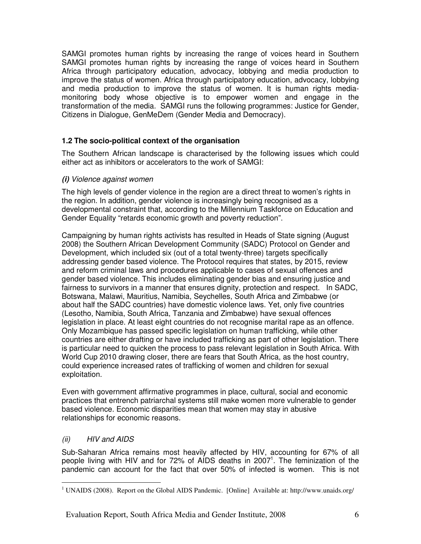SAMGI promotes human rights by increasing the range of voices heard in Southern SAMGI promotes human rights by increasing the range of voices heard in Southern Africa through participatory education, advocacy, lobbying and media production to improve the status of women. Africa through participatory education, advocacy, lobbying and media production to improve the status of women. It is human rights mediamonitoring body whose objective is to empower women and engage in the transformation of the media. SAMGI runs the following programmes: Justice for Gender, Citizens in Dialogue, GenMeDem (Gender Media and Democracy).

## **1.2 The socio-political context of the organisation**

The Southern African landscape is characterised by the following issues which could either act as inhibitors or accelerators to the work of SAMGI:

## **(i)** Violence against women

The high levels of gender violence in the region are a direct threat to women's rights in the region. In addition, gender violence is increasingly being recognised as a developmental constraint that, according to the Millennium Taskforce on Education and Gender Equality "retards economic growth and poverty reduction".

Campaigning by human rights activists has resulted in Heads of State signing (August 2008) the Southern African Development Community (SADC) Protocol on Gender and Development, which included six (out of a total twenty-three) targets specifically addressing gender based violence. The Protocol requires that states, by 2015, review and reform criminal laws and procedures applicable to cases of sexual offences and gender based violence. This includes eliminating gender bias and ensuring justice and fairness to survivors in a manner that ensures dignity, protection and respect. In SADC, Botswana, Malawi, Mauritius, Namibia, Seychelles, South Africa and Zimbabwe (or about half the SADC countries) have domestic violence laws. Yet, only five countries (Lesotho, Namibia, South Africa, Tanzania and Zimbabwe) have sexual offences legislation in place. At least eight countries do not recognise marital rape as an offence. Only Mozambique has passed specific legislation on human trafficking, while other countries are either drafting or have included trafficking as part of other legislation. There is particular need to quicken the process to pass relevant legislation in South Africa. With World Cup 2010 drawing closer, there are fears that South Africa, as the host country, could experience increased rates of trafficking of women and children for sexual exploitation.

Even with government affirmative programmes in place, cultural, social and economic practices that entrench patriarchal systems still make women more vulnerable to gender based violence. Economic disparities mean that women may stay in abusive relationships for economic reasons.

## (ii) HIV and AIDS

Sub-Saharan Africa remains most heavily affected by HIV, accounting for 67% of all people living with HIV and for 72% of AIDS deaths in 2007<sup>1</sup>. The feminization of the pandemic can account for the fact that over 50% of infected is women. This is not

 $\overline{a}$ <sup>1</sup> UNAIDS (2008). Report on the Global AIDS Pandemic. [Online] Available at: http://www.unaids.org/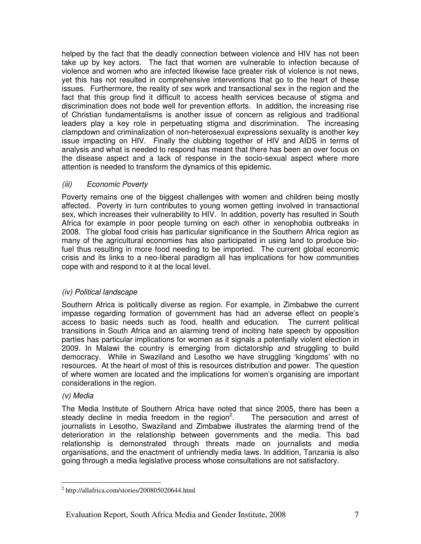helped by the fact that the deadly connection between violence and HIV has not been take up by key actors. The fact that women are vulnerable to infection because of violence and women who are infected likewise face greater risk of violence is not news, yet this has not resulted in comprehensive interventions that go to the heart of these issues. Furthermore, the reality of sex work and transactional sex in the region and the fact that this group find it difficult to access health services because of stigma and discrimination does not bode well for prevention efforts. In addition, the increasing rise of Christian fundamentalisms is another issue of concern as religious and traditional leaders play a key role in perpetuating stigma and discrimination. The increasing clampdown and criminalization of non-heterosexual expressions sexuality is another key issue impacting on HIV. Finally the clubbing together of HIV and AIDS in terms of analysis and what is needed to respond has meant that there has been an over focus on the disease aspect and a lack of response in the socio-sexual aspect where more attention is needed to transform the dynamics of this epidemic.

## (iii) Economic Poverty

Poverty remains one of the biggest challenges with women and children being mostly affected. Poverty in turn contributes to young women getting involved in transactional sex, which increases their vulnerability to HIV. In addition, poverty has resulted in South Africa for example in poor people turning on each other in xenophobia outbreaks in 2008. The global food crisis has particular significance in the Southern Africa region as many of the agricultural economies has also participated in using land to produce biofuel thus resulting in more food needing to be imported. The current global economic crisis and its links to a neo-liberal paradigm all has implications for how communities cope with and respond to it at the local level.

## (iv) Political landscape

Southern Africa is politically diverse as region. For example, in Zimbabwe the current impasse regarding formation of government has had an adverse effect on people's access to basic needs such as food, health and education. The current political transitions in South Africa and an alarming trend of inciting hate speech by opposition parties has particular implications for women as it signals a potentially violent election in 2009. In Malawi the country is emerging from dictatorship and struggling to build democracy. While in Swaziland and Lesotho we have struggling 'kingdoms' with no resources. At the heart of most of this is resources distribution and power. The question of where women are located and the implications for women's organising are important considerations in the region.

## (v) Media

The Media Institute of Southern Africa have noted that since 2005, there has been a steady decline in media freedom in the region<sup>2</sup>. . The persecution and arrest of journalists in Lesotho, Swaziland and Zimbabwe illustrates the alarming trend of the deterioration in the relationship between governments and the media. This bad relationship is demonstrated through threats made on journalists and media organisations, and the enactment of unfriendly media laws. In addition, Tanzania is also going through a media legislative process whose consultations are not satisfactory.

 $\overline{a}$ <sup>2</sup> http://allafrica.com/stories/200805020644.html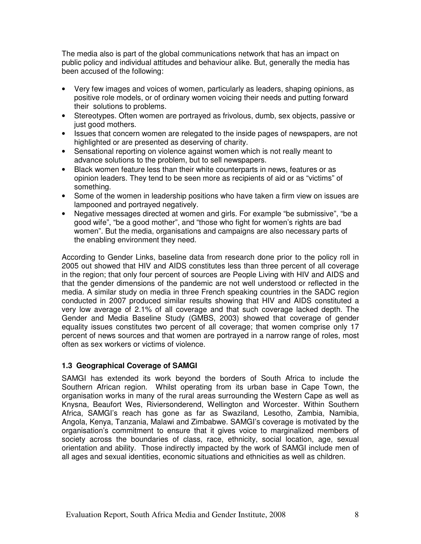The media also is part of the global communications network that has an impact on public policy and individual attitudes and behaviour alike. But, generally the media has been accused of the following:

- Very few images and voices of women, particularly as leaders, shaping opinions, as positive role models, or of ordinary women voicing their needs and putting forward their solutions to problems.
- Stereotypes. Often women are portrayed as frivolous, dumb, sex objects, passive or just good mothers.
- Issues that concern women are relegated to the inside pages of newspapers, are not highlighted or are presented as deserving of charity.
- Sensational reporting on violence against women which is not really meant to advance solutions to the problem, but to sell newspapers.
- Black women feature less than their white counterparts in news, features or as opinion leaders. They tend to be seen more as recipients of aid or as "victims" of something.
- Some of the women in leadership positions who have taken a firm view on issues are lampooned and portrayed negatively.
- Negative messages directed at women and girls. For example "be submissive", "be a good wife", "be a good mother", and "those who fight for women's rights are bad women". But the media, organisations and campaigns are also necessary parts of the enabling environment they need.

According to Gender Links, baseline data from research done prior to the policy roll in 2005 out showed that HIV and AIDS constitutes less than three percent of all coverage in the region; that only four percent of sources are People Living with HIV and AIDS and that the gender dimensions of the pandemic are not well understood or reflected in the media. A similar study on media in three French speaking countries in the SADC region conducted in 2007 produced similar results showing that HIV and AIDS constituted a very low average of 2.1% of all coverage and that such coverage lacked depth. The Gender and Media Baseline Study (GMBS, 2003) showed that coverage of gender equality issues constitutes two percent of all coverage; that women comprise only 17 percent of news sources and that women are portrayed in a narrow range of roles, most often as sex workers or victims of violence.

## **1.3 Geographical Coverage of SAMGI**

SAMGI has extended its work beyond the borders of South Africa to include the Southern African region. Whilst operating from its urban base in Cape Town, the organisation works in many of the rural areas surrounding the Western Cape as well as Knysna, Beaufort Wes, Riviersonderend, Wellington and Worcester. Within Southern Africa, SAMGI's reach has gone as far as Swaziland, Lesotho, Zambia, Namibia, Angola, Kenya, Tanzania, Malawi and Zimbabwe. SAMGI's coverage is motivated by the organisation's commitment to ensure that it gives voice to marginalized members of society across the boundaries of class, race, ethnicity, social location, age, sexual orientation and ability. Those indirectly impacted by the work of SAMGI include men of all ages and sexual identities, economic situations and ethnicities as well as children.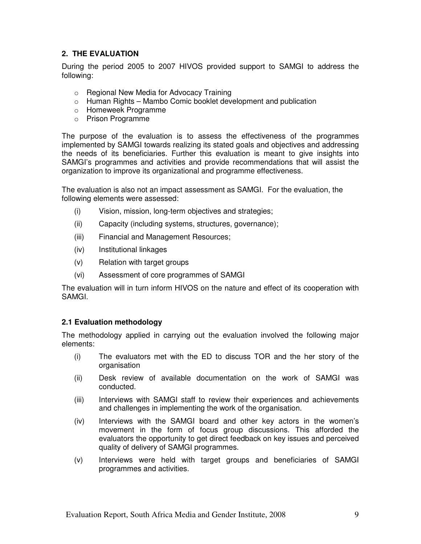## **2. THE EVALUATION**

During the period 2005 to 2007 HIVOS provided support to SAMGI to address the following:

- o Regional New Media for Advocacy Training
- $\circ$  Human Rights Mambo Comic booklet development and publication
- o Homeweek Programme
- o Prison Programme

The purpose of the evaluation is to assess the effectiveness of the programmes implemented by SAMGI towards realizing its stated goals and objectives and addressing the needs of its beneficiaries. Further this evaluation is meant to give insights into SAMGI's programmes and activities and provide recommendations that will assist the organization to improve its organizational and programme effectiveness.

The evaluation is also not an impact assessment as SAMGI. For the evaluation, the following elements were assessed:

- (i) Vision, mission, long-term objectives and strategies;
- (ii) Capacity (including systems, structures, governance);
- (iii) Financial and Management Resources;
- (iv) Institutional linkages
- (v) Relation with target groups
- (vi) Assessment of core programmes of SAMGI

The evaluation will in turn inform HIVOS on the nature and effect of its cooperation with SAMGI.

#### **2.1 Evaluation methodology**

The methodology applied in carrying out the evaluation involved the following major elements:

- (i) The evaluators met with the ED to discuss TOR and the her story of the organisation
- (ii) Desk review of available documentation on the work of SAMGI was conducted.
- (iii) Interviews with SAMGI staff to review their experiences and achievements and challenges in implementing the work of the organisation.
- (iv) Interviews with the SAMGI board and other key actors in the women's movement in the form of focus group discussions. This afforded the evaluators the opportunity to get direct feedback on key issues and perceived quality of delivery of SAMGI programmes.
- (v) Interviews were held with target groups and beneficiaries of SAMGI programmes and activities.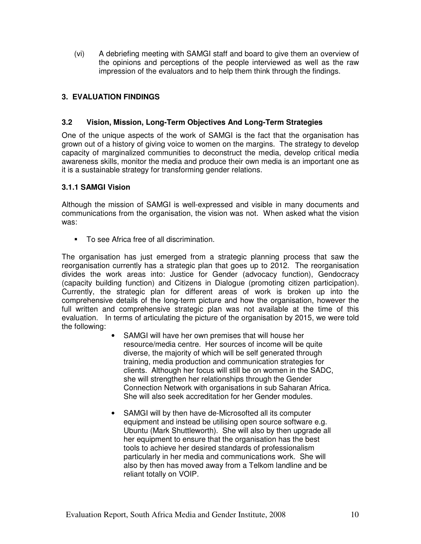(vi) A debriefing meeting with SAMGI staff and board to give them an overview of the opinions and perceptions of the people interviewed as well as the raw impression of the evaluators and to help them think through the findings.

## **3. EVALUATION FINDINGS**

### **3.2 Vision, Mission, Long-Term Objectives And Long-Term Strategies**

One of the unique aspects of the work of SAMGI is the fact that the organisation has grown out of a history of giving voice to women on the margins. The strategy to develop capacity of marginalized communities to deconstruct the media, develop critical media awareness skills, monitor the media and produce their own media is an important one as it is a sustainable strategy for transforming gender relations.

## **3.1.1 SAMGI Vision**

Although the mission of SAMGI is well-expressed and visible in many documents and communications from the organisation, the vision was not. When asked what the vision was:

To see Africa free of all discrimination.

The organisation has just emerged from a strategic planning process that saw the reorganisation currently has a strategic plan that goes up to 2012. The reorganisation divides the work areas into: Justice for Gender (advocacy function), Gendocracy (capacity building function) and Citizens in Dialogue (promoting citizen participation). Currently, the strategic plan for different areas of work is broken up into the comprehensive details of the long-term picture and how the organisation, however the full written and comprehensive strategic plan was not available at the time of this evaluation. In terms of articulating the picture of the organisation by 2015, we were told the following:

- SAMGI will have her own premises that will house her resource/media centre. Her sources of income will be quite diverse, the majority of which will be self generated through training, media production and communication strategies for clients. Although her focus will still be on women in the SADC, she will strengthen her relationships through the Gender Connection Network with organisations in sub Saharan Africa. She will also seek accreditation for her Gender modules.
- SAMGI will by then have de-Microsofted all its computer equipment and instead be utilising open source software e.g. Ubuntu (Mark Shuttleworth). She will also by then upgrade all her equipment to ensure that the organisation has the best tools to achieve her desired standards of professionalism particularly in her media and communications work. She will also by then has moved away from a Telkom landline and be reliant totally on VOIP.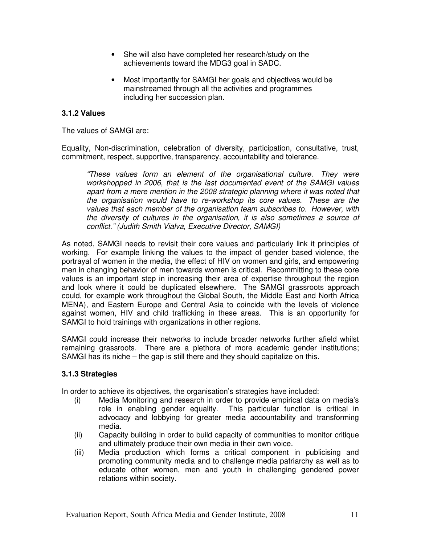- She will also have completed her research/study on the achievements toward the MDG3 goal in SADC.
- Most importantly for SAMGI her goals and objectives would be mainstreamed through all the activities and programmes including her succession plan.

## **3.1.2 Values**

The values of SAMGI are:

Equality, Non-discrimination, celebration of diversity, participation, consultative, trust, commitment, respect, supportive, transparency, accountability and tolerance.

"These values form an element of the organisational culture. They were workshopped in 2006, that is the last documented event of the SAMGI values apart from a mere mention in the 2008 strategic planning where it was noted that the organisation would have to re-workshop its core values. These are the values that each member of the organisation team subscribes to. However, with the diversity of cultures in the organisation, it is also sometimes a source of conflict." (Judith Smith Vialva, Executive Director, SAMGI)

As noted, SAMGI needs to revisit their core values and particularly link it principles of working. For example linking the values to the impact of gender based violence, the portrayal of women in the media, the effect of HIV on women and girls, and empowering men in changing behavior of men towards women is critical. Recommitting to these core values is an important step in increasing their area of expertise throughout the region and look where it could be duplicated elsewhere. The SAMGI grassroots approach could, for example work throughout the Global South, the Middle East and North Africa MENA), and Eastern Europe and Central Asia to coincide with the levels of violence against women, HIV and child trafficking in these areas. This is an opportunity for SAMGI to hold trainings with organizations in other regions.

SAMGI could increase their networks to include broader networks further afield whilst remaining grassroots. There are a plethora of more academic gender institutions; SAMGI has its niche – the gap is still there and they should capitalize on this.

#### **3.1.3 Strategies**

In order to achieve its objectives, the organisation's strategies have included:

- (i) Media Monitoring and research in order to provide empirical data on media's role in enabling gender equality. This particular function is critical in advocacy and lobbying for greater media accountability and transforming media.
- (ii) Capacity building in order to build capacity of communities to monitor critique and ultimately produce their own media in their own voice.
- (iii) Media production which forms a critical component in publicising and promoting community media and to challenge media patriarchy as well as to educate other women, men and youth in challenging gendered power relations within society.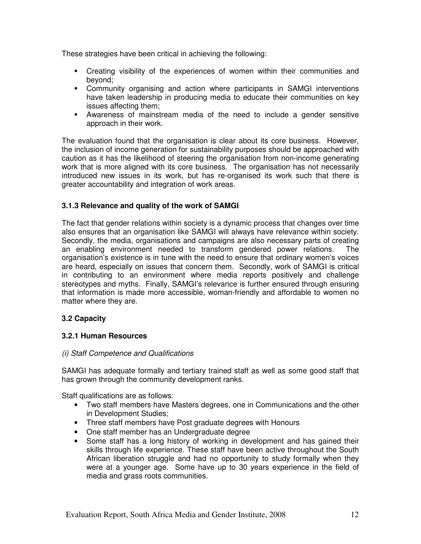These strategies have been critical in achieving the following:

- Creating visibility of the experiences of women within their communities and beyond;
- Community organising and action where participants in SAMGI interventions have taken leadership in producing media to educate their communities on key issues affecting them;
- Awareness of mainstream media of the need to include a gender sensitive approach in their work.

The evaluation found that the organisation is clear about its core business. However, the inclusion of income generation for sustainability purposes should be approached with caution as it has the likelihood of steering the organisation from non-income generating work that is more aligned with its core business. The organisation has not necessarily introduced new issues in its work, but has re-organised its work such that there is greater accountability and integration of work areas.

## **3.1.3 Relevance and quality of the work of SAMGI**

The fact that gender relations within society is a dynamic process that changes over time also ensures that an organisation like SAMGI will always have relevance within society. Secondly, the media, organisations and campaigns are also necessary parts of creating an enabling environment needed to transform gendered power relations. The organisation's existence is in tune with the need to ensure that ordinary women's voices are heard, especially on issues that concern them. Secondly, work of SAMGI is critical in contributing to an environment where media reports positively and challenge stereotypes and myths. Finally, SAMGI's relevance is further ensured through ensuring that information is made more accessible, woman-friendly and affordable to women no matter where they are.

#### **3.2 Capacity**

#### **3.2.1 Human Resources**

#### (i) Staff Competence and Qualifications

SAMGI has adequate formally and tertiary trained staff as well as some good staff that has grown through the community development ranks.

Staff qualifications are as follows:

- Two staff members have Masters degrees, one in Communications and the other in Development Studies;
- Three staff members have Post graduate degrees with Honours
- One staff member has an Undergraduate degree
- Some staff has a long history of working in development and has gained their skills through life experience. These staff have been active throughout the South African liberation struggle and had no opportunity to study formally when they were at a younger age. Some have up to 30 years experience in the field of media and grass roots communities.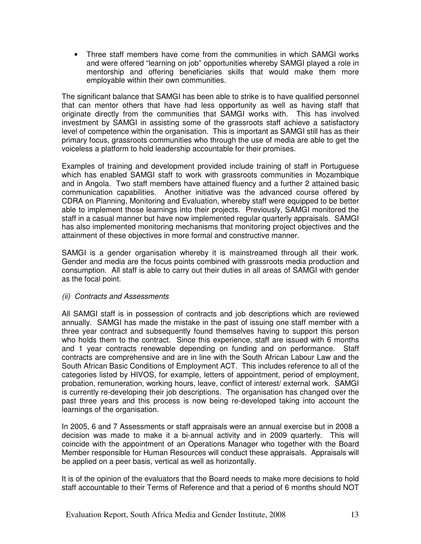• Three staff members have come from the communities in which SAMGI works and were offered "learning on job" opportunities whereby SAMGI played a role in mentorship and offering beneficiaries skills that would make them more employable within their own communities.

The significant balance that SAMGI has been able to strike is to have qualified personnel that can mentor others that have had less opportunity as well as having staff that originate directly from the communities that SAMGI works with. This has involved investment by SAMGI in assisting some of the grassroots staff achieve a satisfactory level of competence within the organisation. This is important as SAMGI still has as their primary focus, grassroots communities who through the use of media are able to get the voiceless a platform to hold leadership accountable for their promises.

Examples of training and development provided include training of staff in Portuguese which has enabled SAMGI staff to work with grassroots communities in Mozambique and in Angola. Two staff members have attained fluency and a further 2 attained basic communication capabilities. Another initiative was the advanced course offered by CDRA on Planning, Monitoring and Evaluation, whereby staff were equipped to be better able to implement those learnings into their projects. Previously, SAMGI monitored the staff in a casual manner but have now implemented regular quarterly appraisals. SAMGI has also implemented monitoring mechanisms that monitoring project objectives and the attainment of these objectives in more formal and constructive manner.

SAMGI is a gender organisation whereby it is mainstreamed through all their work. Gender and media are the focus points combined with grassroots media production and consumption. All staff is able to carry out their duties in all areas of SAMGI with gender as the focal point.

#### (ii) Contracts and Assessments

All SAMGI staff is in possession of contracts and job descriptions which are reviewed annually. SAMGI has made the mistake in the past of issuing one staff member with a three year contract and subsequently found themselves having to support this person who holds them to the contract. Since this experience, staff are issued with 6 months and 1 year contracts renewable depending on funding and on performance. Staff contracts are comprehensive and are in line with the South African Labour Law and the South African Basic Conditions of Employment ACT. This includes reference to all of the categories listed by HIVOS, for example, letters of appointment, period of employment, probation, remuneration, working hours, leave, conflict of interest/ external work. SAMGI is currently re-developing their job descriptions. The organisation has changed over the past three years and this process is now being re-developed taking into account the learnings of the organisation.

In 2005, 6 and 7 Assessments or staff appraisals were an annual exercise but in 2008 a decision was made to make it a bi-annual activity and in 2009 quarterly. This will coincide with the appointment of an Operations Manager who together with the Board Member responsible for Human Resources will conduct these appraisals. Appraisals will be applied on a peer basis, vertical as well as horizontally.

It is of the opinion of the evaluators that the Board needs to make more decisions to hold staff accountable to their Terms of Reference and that a period of 6 months should NOT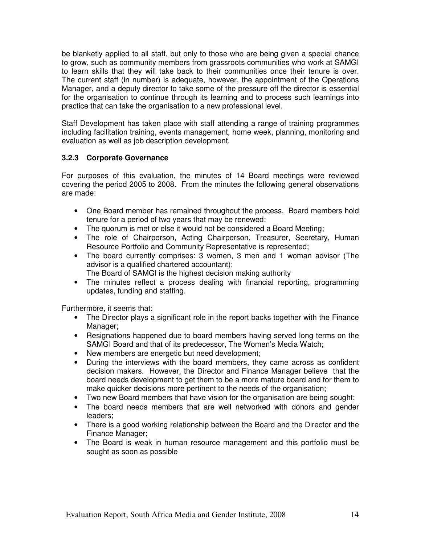be blanketly applied to all staff, but only to those who are being given a special chance to grow, such as community members from grassroots communities who work at SAMGI to learn skills that they will take back to their communities once their tenure is over. The current staff (in number) is adequate, however, the appointment of the Operations Manager, and a deputy director to take some of the pressure off the director is essential for the organisation to continue through its learning and to process such learnings into practice that can take the organisation to a new professional level.

Staff Development has taken place with staff attending a range of training programmes including facilitation training, events management, home week, planning, monitoring and evaluation as well as job description development.

## **3.2.3 Corporate Governance**

For purposes of this evaluation, the minutes of 14 Board meetings were reviewed covering the period 2005 to 2008. From the minutes the following general observations are made:

- One Board member has remained throughout the process. Board members hold tenure for a period of two years that may be renewed;
- The quorum is met or else it would not be considered a Board Meeting;
- The role of Chairperson, Acting Chairperson, Treasurer, Secretary, Human Resource Portfolio and Community Representative is represented;
- The board currently comprises: 3 women, 3 men and 1 woman advisor (The advisor is a qualified chartered accountant);
	- The Board of SAMGI is the highest decision making authority
- The minutes reflect a process dealing with financial reporting, programming updates, funding and staffing.

Furthermore, it seems that:

- The Director plays a significant role in the report backs together with the Finance Manager:
- Resignations happened due to board members having served long terms on the SAMGI Board and that of its predecessor, The Women's Media Watch;
- New members are energetic but need development;
- During the interviews with the board members, they came across as confident decision makers. However, the Director and Finance Manager believe that the board needs development to get them to be a more mature board and for them to make quicker decisions more pertinent to the needs of the organisation;
- Two new Board members that have vision for the organisation are being sought;
- The board needs members that are well networked with donors and gender leaders;
- There is a good working relationship between the Board and the Director and the Finance Manager;
- The Board is weak in human resource management and this portfolio must be sought as soon as possible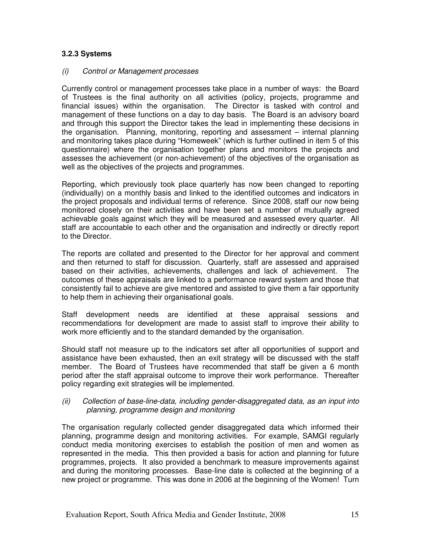## **3.2.3 Systems**

#### (i) Control or Management processes

Currently control or management processes take place in a number of ways: the Board of Trustees is the final authority on all activities (policy, projects, programme and financial issues) within the organisation. The Director is tasked with control and management of these functions on a day to day basis. The Board is an advisory board and through this support the Director takes the lead in implementing these decisions in the organisation. Planning, monitoring, reporting and assessment – internal planning and monitoring takes place during "Homeweek" (which is further outlined in item 5 of this questionnaire) where the organisation together plans and monitors the projects and assesses the achievement (or non-achievement) of the objectives of the organisation as well as the objectives of the projects and programmes.

Reporting, which previously took place quarterly has now been changed to reporting (individually) on a monthly basis and linked to the identified outcomes and indicators in the project proposals and individual terms of reference. Since 2008, staff our now being monitored closely on their activities and have been set a number of mutually agreed achievable goals against which they will be measured and assessed every quarter. All staff are accountable to each other and the organisation and indirectly or directly report to the Director.

The reports are collated and presented to the Director for her approval and comment and then returned to staff for discussion. Quarterly, staff are assessed and appraised based on their activities, achievements, challenges and lack of achievement. The outcomes of these appraisals are linked to a performance reward system and those that consistently fail to achieve are give mentored and assisted to give them a fair opportunity to help them in achieving their organisational goals.

Staff development needs are identified at these appraisal sessions and recommendations for development are made to assist staff to improve their ability to work more efficiently and to the standard demanded by the organisation.

Should staff not measure up to the indicators set after all opportunities of support and assistance have been exhausted, then an exit strategy will be discussed with the staff member. The Board of Trustees have recommended that staff be given a 6 month period after the staff appraisal outcome to improve their work performance. Thereafter policy regarding exit strategies will be implemented.

#### (ii) Collection of base-line-data, including gender-disaggregated data, as an input into planning, programme design and monitoring

The organisation regularly collected gender disaggregated data which informed their planning, programme design and monitoring activities. For example, SAMGI regularly conduct media monitoring exercises to establish the position of men and women as represented in the media. This then provided a basis for action and planning for future programmes, projects. It also provided a benchmark to measure improvements against and during the monitoring processes. Base-line date is collected at the beginning of a new project or programme. This was done in 2006 at the beginning of the Women! Turn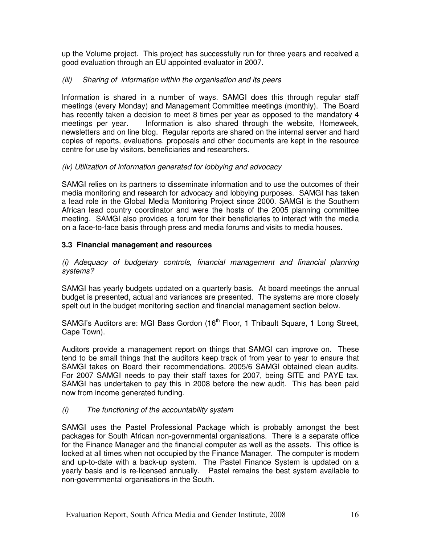up the Volume project. This project has successfully run for three years and received a good evaluation through an EU appointed evaluator in 2007.

#### (iii) Sharing of information within the organisation and its peers

Information is shared in a number of ways. SAMGI does this through regular staff meetings (every Monday) and Management Committee meetings (monthly). The Board has recently taken a decision to meet 8 times per year as opposed to the mandatory 4 meetings per year. Information is also shared through the website, Homeweek, newsletters and on line blog. Regular reports are shared on the internal server and hard copies of reports, evaluations, proposals and other documents are kept in the resource centre for use by visitors, beneficiaries and researchers.

#### (iv) Utilization of information generated for lobbying and advocacy

SAMGI relies on its partners to disseminate information and to use the outcomes of their media monitoring and research for advocacy and lobbying purposes. SAMGI has taken a lead role in the Global Media Monitoring Project since 2000. SAMGI is the Southern African lead country coordinator and were the hosts of the 2005 planning committee meeting. SAMGI also provides a forum for their beneficiaries to interact with the media on a face-to-face basis through press and media forums and visits to media houses.

#### **3.3 Financial management and resources**

(i) Adequacy of budgetary controls, financial management and financial planning systems?

SAMGI has yearly budgets updated on a quarterly basis. At board meetings the annual budget is presented, actual and variances are presented. The systems are more closely spelt out in the budget monitoring section and financial management section below.

SAMGI's Auditors are: MGI Bass Gordon (16<sup>th</sup> Floor, 1 Thibault Square, 1 Long Street, Cape Town).

Auditors provide a management report on things that SAMGI can improve on. These tend to be small things that the auditors keep track of from year to year to ensure that SAMGI takes on Board their recommendations. 2005/6 SAMGI obtained clean audits. For 2007 SAMGI needs to pay their staff taxes for 2007, being SITE and PAYE tax. SAMGI has undertaken to pay this in 2008 before the new audit. This has been paid now from income generated funding.

#### (i) The functioning of the accountability system

SAMGI uses the Pastel Professional Package which is probably amongst the best packages for South African non-governmental organisations. There is a separate office for the Finance Manager and the financial computer as well as the assets. This office is locked at all times when not occupied by the Finance Manager. The computer is modern and up-to-date with a back-up system. The Pastel Finance System is updated on a yearly basis and is re-licensed annually. Pastel remains the best system available to non-governmental organisations in the South.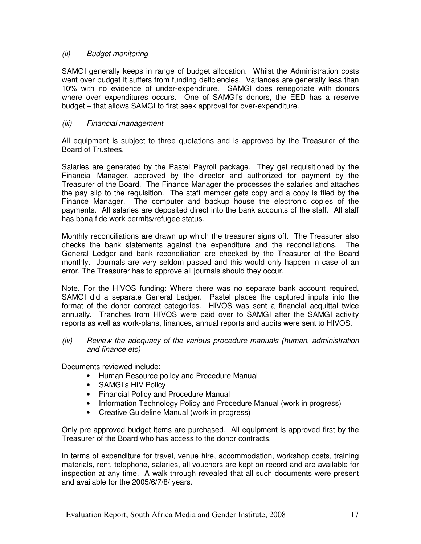## (ii) Budget monitoring

SAMGI generally keeps in range of budget allocation. Whilst the Administration costs went over budget it suffers from funding deficiencies. Variances are generally less than 10% with no evidence of under-expenditure. SAMGI does renegotiate with donors where over expenditures occurs. One of SAMGI's donors, the EED has a reserve budget – that allows SAMGI to first seek approval for over-expenditure.

### (iii) Financial management

All equipment is subject to three quotations and is approved by the Treasurer of the Board of Trustees.

Salaries are generated by the Pastel Payroll package. They get requisitioned by the Financial Manager, approved by the director and authorized for payment by the Treasurer of the Board. The Finance Manager the processes the salaries and attaches the pay slip to the requisition. The staff member gets copy and a copy is filed by the Finance Manager. The computer and backup house the electronic copies of the payments. All salaries are deposited direct into the bank accounts of the staff. All staff has bona fide work permits/refugee status.

Monthly reconciliations are drawn up which the treasurer signs off. The Treasurer also checks the bank statements against the expenditure and the reconciliations. The General Ledger and bank reconciliation are checked by the Treasurer of the Board monthly. Journals are very seldom passed and this would only happen in case of an error. The Treasurer has to approve all journals should they occur.

Note, For the HIVOS funding: Where there was no separate bank account required, SAMGI did a separate General Ledger. Pastel places the captured inputs into the format of the donor contract categories. HIVOS was sent a financial acquittal twice annually. Tranches from HIVOS were paid over to SAMGI after the SAMGI activity reports as well as work-plans, finances, annual reports and audits were sent to HIVOS.

(iv) Review the adequacy of the various procedure manuals (human, administration and finance etc)

Documents reviewed include:

- Human Resource policy and Procedure Manual
- SAMGI's HIV Policy
- Financial Policy and Procedure Manual
- Information Technology Policy and Procedure Manual (work in progress)
- Creative Guideline Manual (work in progress)

Only pre-approved budget items are purchased. All equipment is approved first by the Treasurer of the Board who has access to the donor contracts.

In terms of expenditure for travel, venue hire, accommodation, workshop costs, training materials, rent, telephone, salaries, all vouchers are kept on record and are available for inspection at any time. A walk through revealed that all such documents were present and available for the 2005/6/7/8/ years.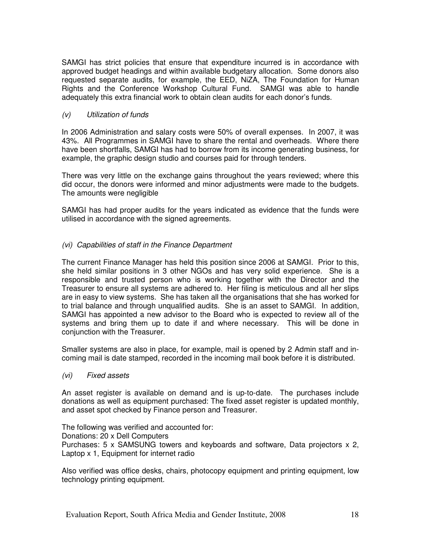SAMGI has strict policies that ensure that expenditure incurred is in accordance with approved budget headings and within available budgetary allocation. Some donors also requested separate audits, for example, the EED, NiZA, The Foundation for Human Rights and the Conference Workshop Cultural Fund. SAMGI was able to handle adequately this extra financial work to obtain clean audits for each donor's funds.

### (v) Utilization of funds

In 2006 Administration and salary costs were 50% of overall expenses. In 2007, it was 43%. All Programmes in SAMGI have to share the rental and overheads. Where there have been shortfalls, SAMGI has had to borrow from its income generating business, for example, the graphic design studio and courses paid for through tenders.

There was very little on the exchange gains throughout the years reviewed; where this did occur, the donors were informed and minor adjustments were made to the budgets. The amounts were negligible

SAMGI has had proper audits for the years indicated as evidence that the funds were utilised in accordance with the signed agreements.

## (vi) Capabilities of staff in the Finance Department

The current Finance Manager has held this position since 2006 at SAMGI. Prior to this, she held similar positions in 3 other NGOs and has very solid experience. She is a responsible and trusted person who is working together with the Director and the Treasurer to ensure all systems are adhered to. Her filing is meticulous and all her slips are in easy to view systems. She has taken all the organisations that she has worked for to trial balance and through unqualified audits. She is an asset to SAMGI. In addition, SAMGI has appointed a new advisor to the Board who is expected to review all of the systems and bring them up to date if and where necessary. This will be done in conjunction with the Treasurer.

Smaller systems are also in place, for example, mail is opened by 2 Admin staff and incoming mail is date stamped, recorded in the incoming mail book before it is distributed.

#### (vi) Fixed assets

An asset register is available on demand and is up-to-date. The purchases include donations as well as equipment purchased: The fixed asset register is updated monthly, and asset spot checked by Finance person and Treasurer.

The following was verified and accounted for: Donations: 20 x Dell Computers Purchases: 5 x SAMSUNG towers and keyboards and software, Data projectors x 2, Laptop x 1, Equipment for internet radio

Also verified was office desks, chairs, photocopy equipment and printing equipment, low technology printing equipment.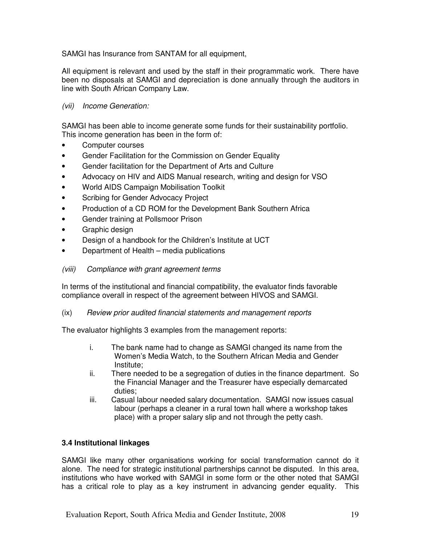SAMGI has Insurance from SANTAM for all equipment,

All equipment is relevant and used by the staff in their programmatic work. There have been no disposals at SAMGI and depreciation is done annually through the auditors in line with South African Company Law.

## (vii) Income Generation:

SAMGI has been able to income generate some funds for their sustainability portfolio. This income generation has been in the form of:

- Computer courses
- Gender Facilitation for the Commission on Gender Equality
- Gender facilitation for the Department of Arts and Culture
- Advocacy on HIV and AIDS Manual research, writing and design for VSO
- World AIDS Campaign Mobilisation Toolkit
- Scribing for Gender Advocacy Project
- Production of a CD ROM for the Development Bank Southern Africa
- Gender training at Pollsmoor Prison
- Graphic design
- Design of a handbook for the Children's Institute at UCT
- Department of Health media publications

#### (viii) Compliance with grant agreement terms

In terms of the institutional and financial compatibility, the evaluator finds favorable compliance overall in respect of the agreement between HIVOS and SAMGI.

(ix) Review prior audited financial statements and management reports

The evaluator highlights 3 examples from the management reports:

- i. The bank name had to change as SAMGI changed its name from the Women's Media Watch, to the Southern African Media and Gender Institute;
- ii. There needed to be a segregation of duties in the finance department. So the Financial Manager and the Treasurer have especially demarcated duties;
- iii. Casual labour needed salary documentation. SAMGI now issues casual labour (perhaps a cleaner in a rural town hall where a workshop takes place) with a proper salary slip and not through the petty cash.

#### **3.4 Institutional linkages**

SAMGI like many other organisations working for social transformation cannot do it alone. The need for strategic institutional partnerships cannot be disputed. In this area, institutions who have worked with SAMGI in some form or the other noted that SAMGI has a critical role to play as a key instrument in advancing gender equality. This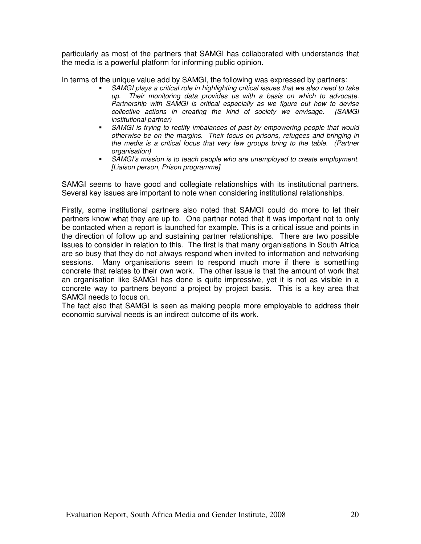particularly as most of the partners that SAMGI has collaborated with understands that the media is a powerful platform for informing public opinion.

In terms of the unique value add by SAMGI, the following was expressed by partners:

- SAMGI plays a critical role in highlighting critical issues that we also need to take up. Their monitoring data provides us with a basis on which to advocate. Partnership with SAMGI is critical especially as we figure out how to devise collective actions in creating the kind of society we envisage. (SAMGI institutional partner)
- SAMGI is trying to rectify imbalances of past by empowering people that would otherwise be on the margins. Their focus on prisons, refugees and bringing in the media is a critical focus that very few groups bring to the table. (Partner organisation)
- SAMGI's mission is to teach people who are unemployed to create employment. [Liaison person, Prison programme]

SAMGI seems to have good and collegiate relationships with its institutional partners. Several key issues are important to note when considering institutional relationships.

Firstly, some institutional partners also noted that SAMGI could do more to let their partners know what they are up to. One partner noted that it was important not to only be contacted when a report is launched for example. This is a critical issue and points in the direction of follow up and sustaining partner relationships. There are two possible issues to consider in relation to this. The first is that many organisations in South Africa are so busy that they do not always respond when invited to information and networking sessions. Many organisations seem to respond much more if there is something concrete that relates to their own work. The other issue is that the amount of work that an organisation like SAMGI has done is quite impressive, yet it is not as visible in a concrete way to partners beyond a project by project basis. This is a key area that SAMGI needs to focus on.

The fact also that SAMGI is seen as making people more employable to address their economic survival needs is an indirect outcome of its work.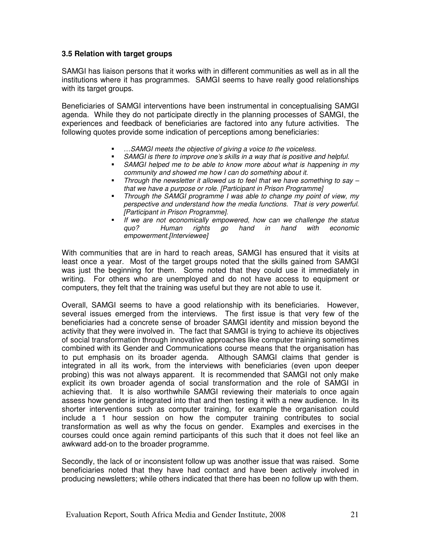## **3.5 Relation with target groups**

SAMGI has liaison persons that it works with in different communities as well as in all the institutions where it has programmes. SAMGI seems to have really good relationships with its target groups.

Beneficiaries of SAMGI interventions have been instrumental in conceptualising SAMGI agenda. While they do not participate directly in the planning processes of SAMGI, the experiences and feedback of beneficiaries are factored into any future activities. The following quotes provide some indication of perceptions among beneficiaries:

- …SAMGI meets the objective of giving a voice to the voiceless.
- SAMGI is there to improve one's skills in a way that is positive and helpful.
- SAMGI helped me to be able to know more about what is happening in my community and showed me how I can do something about it.
- Through the newsletter it allowed us to feel that we have something to say  $$ that we have a purpose or role. [Participant in Prison Programme]
- Through the SAMGI programme I was able to change my point of view, my perspective and understand how the media functions. That is very powerful. [Participant in Prison Programme].
- If we are not economically empowered, how can we challenge the status quo? Human rights go hand in hand with economic empowerment.[Interviewee]

With communities that are in hard to reach areas, SAMGI has ensured that it visits at least once a year. Most of the target groups noted that the skills gained from SAMGI was just the beginning for them. Some noted that they could use it immediately in writing. For others who are unemployed and do not have access to equipment or computers, they felt that the training was useful but they are not able to use it.

Overall, SAMGI seems to have a good relationship with its beneficiaries. However, several issues emerged from the interviews. The first issue is that very few of the beneficiaries had a concrete sense of broader SAMGI identity and mission beyond the activity that they were involved in. The fact that SAMGI is trying to achieve its objectives of social transformation through innovative approaches like computer training sometimes combined with its Gender and Communications course means that the organisation has to put emphasis on its broader agenda. Although SAMGI claims that gender is integrated in all its work, from the interviews with beneficiaries (even upon deeper probing) this was not always apparent. It is recommended that SAMGI not only make explicit its own broader agenda of social transformation and the role of SAMGI in achieving that. It is also worthwhile SAMGI reviewing their materials to once again assess how gender is integrated into that and then testing it with a new audience. In its shorter interventions such as computer training, for example the organisation could include a 1 hour session on how the computer training contributes to social transformation as well as why the focus on gender. Examples and exercises in the courses could once again remind participants of this such that it does not feel like an awkward add-on to the broader programme.

Secondly, the lack of or inconsistent follow up was another issue that was raised. Some beneficiaries noted that they have had contact and have been actively involved in producing newsletters; while others indicated that there has been no follow up with them.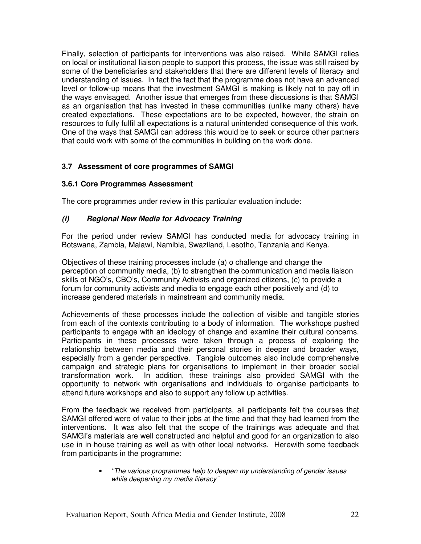Finally, selection of participants for interventions was also raised. While SAMGI relies on local or institutional liaison people to support this process, the issue was still raised by some of the beneficiaries and stakeholders that there are different levels of literacy and understanding of issues. In fact the fact that the programme does not have an advanced level or follow-up means that the investment SAMGI is making is likely not to pay off in the ways envisaged. Another issue that emerges from these discussions is that SAMGI as an organisation that has invested in these communities (unlike many others) have created expectations. These expectations are to be expected, however, the strain on resources to fully fulfil all expectations is a natural unintended consequence of this work. One of the ways that SAMGI can address this would be to seek or source other partners that could work with some of the communities in building on the work done.

## **3.7 Assessment of core programmes of SAMGI**

## **3.6.1 Core Programmes Assessment**

The core programmes under review in this particular evaluation include:

#### **(i) Regional New Media for Advocacy Training**

For the period under review SAMGI has conducted media for advocacy training in Botswana, Zambia, Malawi, Namibia, Swaziland, Lesotho, Tanzania and Kenya.

Objectives of these training processes include (a) o challenge and change the perception of community media, (b) to strengthen the communication and media liaison skills of NGO's, CBO's, Community Activists and organized citizens, (c) to provide a forum for community activists and media to engage each other positively and (d) to increase gendered materials in mainstream and community media.

Achievements of these processes include the collection of visible and tangible stories from each of the contexts contributing to a body of information. The workshops pushed participants to engage with an ideology of change and examine their cultural concerns. Participants in these processes were taken through a process of exploring the relationship between media and their personal stories in deeper and broader ways, especially from a gender perspective. Tangible outcomes also include comprehensive campaign and strategic plans for organisations to implement in their broader social transformation work. In addition, these trainings also provided SAMGI with the opportunity to network with organisations and individuals to organise participants to attend future workshops and also to support any follow up activities.

From the feedback we received from participants, all participants felt the courses that SAMGI offered were of value to their jobs at the time and that they had learned from the interventions. It was also felt that the scope of the trainings was adequate and that SAMGI's materials are well constructed and helpful and good for an organization to also use in in-house training as well as with other local networks. Herewith some feedback from participants in the programme:

> • "The various programmes help to deepen my understanding of gender issues while deepening my media literacy"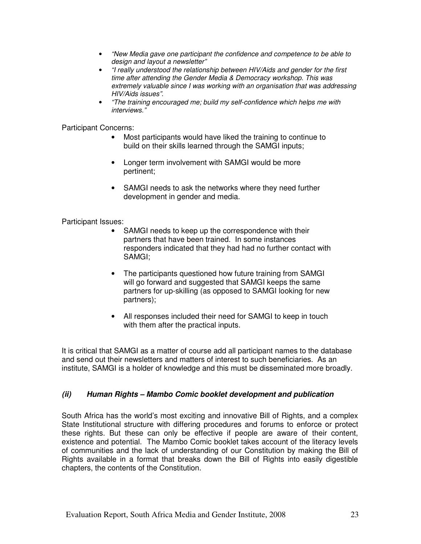- "New Media gave one participant the confidence and competence to be able to design and layout a newsletter"
- "I really understood the relationship between HIV/Aids and gender for the first time after attending the Gender Media & Democracy workshop. This was extremely valuable since I was working with an organisation that was addressing HIV/Aids issues".
- "The training encouraged me; build my self-confidence which helps me with interviews."

Participant Concerns:

- Most participants would have liked the training to continue to build on their skills learned through the SAMGI inputs;
- Longer term involvement with SAMGI would be more pertinent;
- SAMGI needs to ask the networks where they need further development in gender and media.

Participant Issues:

- SAMGI needs to keep up the correspondence with their partners that have been trained. In some instances responders indicated that they had had no further contact with SAMGI;
- The participants questioned how future training from SAMGI will go forward and suggested that SAMGI keeps the same partners for up-skilling (as opposed to SAMGI looking for new partners);
- All responses included their need for SAMGI to keep in touch with them after the practical inputs.

It is critical that SAMGI as a matter of course add all participant names to the database and send out their newsletters and matters of interest to such beneficiaries. As an institute, SAMGI is a holder of knowledge and this must be disseminated more broadly.

#### **(ii) Human Rights – Mambo Comic booklet development and publication**

South Africa has the world's most exciting and innovative Bill of Rights, and a complex State Institutional structure with differing procedures and forums to enforce or protect these rights. But these can only be effective if people are aware of their content, existence and potential. The Mambo Comic booklet takes account of the literacy levels of communities and the lack of understanding of our Constitution by making the Bill of Rights available in a format that breaks down the Bill of Rights into easily digestible chapters, the contents of the Constitution.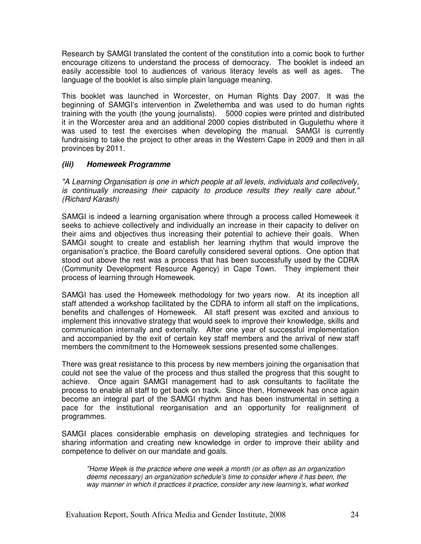Research by SAMGI translated the content of the constitution into a comic book to further encourage citizens to understand the process of democracy. The booklet is indeed an easily accessible tool to audiences of various literacy levels as well as ages. The language of the booklet is also simple plain language meaning.

This booklet was launched in Worcester, on Human Rights Day 2007. It was the beginning of SAMGI's intervention in Zwelethemba and was used to do human rights training with the youth (the young journalists). 5000 copies were printed and distributed it in the Worcester area and an additional 2000 copies distributed in Gugulethu where it was used to test the exercises when developing the manual. SAMGI is currently fundraising to take the project to other areas in the Western Cape in 2009 and then in all provinces by 2011.

#### **(iii) Homeweek Programme**

"A Learning Organisation is one in which people at all levels, individuals and collectively, is continually increasing their capacity to produce results they really care about." (Richard Karash)

SAMGI is indeed a learning organisation where through a process called Homeweek it seeks to achieve collectively and individually an increase in their capacity to deliver on their aims and objectives thus increasing their potential to achieve their goals. When SAMGI sought to create and establish her learning rhythm that would improve the organisation's practice, the Board carefully considered several options. One option that stood out above the rest was a process that has been successfully used by the CDRA (Community Development Resource Agency) in Cape Town. They implement their process of learning through Homeweek.

SAMGI has used the Homeweek methodology for two years now. At its inception all staff attended a workshop facilitated by the CDRA to inform all staff on the implications, benefits and challenges of Homeweek. All staff present was excited and anxious to implement this innovative strategy that would seek to improve their knowledge, skills and communication internally and externally. After one year of successful implementation and accompanied by the exit of certain key staff members and the arrival of new staff members the commitment to the Homeweek sessions presented some challenges.

There was great resistance to this process by new members joining the organisation that could not see the value of the process and thus stalled the progress that this sought to achieve. Once again SAMGI management had to ask consultants to facilitate the process to enable all staff to get back on track. Since then, Homeweek has once again become an integral part of the SAMGI rhythm and has been instrumental in setting a pace for the institutional reorganisation and an opportunity for realignment of programmes.

SAMGI places considerable emphasis on developing strategies and techniques for sharing information and creating new knowledge in order to improve their ability and competence to deliver on our mandate and goals.

"Home Week is the practice where one week a month (or as often as an organization deems necessary) an organization schedule's time to consider where it has been, the way manner in which it practices it practice, consider any new learning's, what worked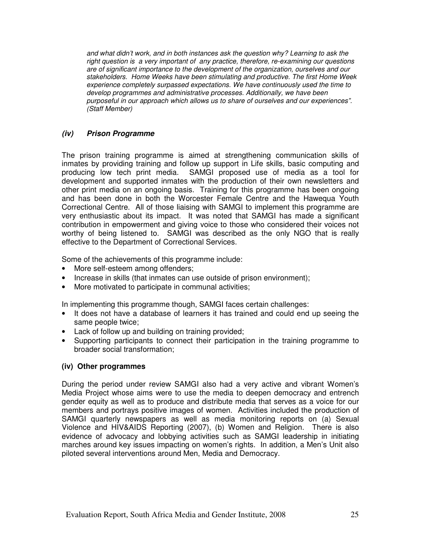and what didn't work, and in both instances ask the question why? Learning to ask the right question is a very important of any practice, therefore, re-examining our questions are of significant importance to the development of the organization, ourselves and our stakeholders. Home Weeks have been stimulating and productive. The first Home Week experience completely surpassed expectations. We have continuously used the time to develop programmes and administrative processes. Additionally, we have been purposeful in our approach which allows us to share of ourselves and our experiences". (Staff Member)

## **(iv) Prison Programme**

The prison training programme is aimed at strengthening communication skills of inmates by providing training and follow up support in Life skills, basic computing and producing low tech print media. SAMGI proposed use of media as a tool for development and supported inmates with the production of their own newsletters and other print media on an ongoing basis. Training for this programme has been ongoing and has been done in both the Worcester Female Centre and the Hawequa Youth Correctional Centre. All of those liaising with SAMGI to implement this programme are very enthusiastic about its impact. It was noted that SAMGI has made a significant contribution in empowerment and giving voice to those who considered their voices not worthy of being listened to. SAMGI was described as the only NGO that is really effective to the Department of Correctional Services.

Some of the achievements of this programme include:

- More self-esteem among offenders;
- Increase in skills (that inmates can use outside of prison environment);
- More motivated to participate in communal activities;

In implementing this programme though, SAMGI faces certain challenges:

- It does not have a database of learners it has trained and could end up seeing the same people twice;
- Lack of follow up and building on training provided;
- Supporting participants to connect their participation in the training programme to broader social transformation;

#### **(iv) Other programmes**

During the period under review SAMGI also had a very active and vibrant Women's Media Project whose aims were to use the media to deepen democracy and entrench gender equity as well as to produce and distribute media that serves as a voice for our members and portrays positive images of women. Activities included the production of SAMGI quarterly newspapers as well as media monitoring reports on (a) Sexual Violence and HIV&AIDS Reporting (2007), (b) Women and Religion. There is also evidence of advocacy and lobbying activities such as SAMGI leadership in initiating marches around key issues impacting on women's rights. In addition, a Men's Unit also piloted several interventions around Men, Media and Democracy.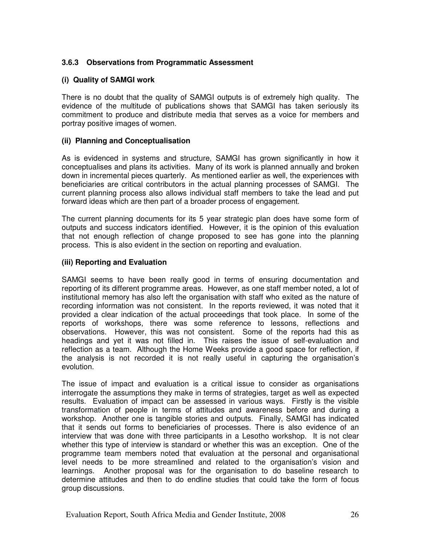## **3.6.3 Observations from Programmatic Assessment**

### **(i) Quality of SAMGI work**

There is no doubt that the quality of SAMGI outputs is of extremely high quality. The evidence of the multitude of publications shows that SAMGI has taken seriously its commitment to produce and distribute media that serves as a voice for members and portray positive images of women.

#### **(ii) Planning and Conceptualisation**

As is evidenced in systems and structure, SAMGI has grown significantly in how it conceptualises and plans its activities. Many of its work is planned annually and broken down in incremental pieces quarterly. As mentioned earlier as well, the experiences with beneficiaries are critical contributors in the actual planning processes of SAMGI. The current planning process also allows individual staff members to take the lead and put forward ideas which are then part of a broader process of engagement.

The current planning documents for its 5 year strategic plan does have some form of outputs and success indicators identified. However, it is the opinion of this evaluation that not enough reflection of change proposed to see has gone into the planning process. This is also evident in the section on reporting and evaluation.

#### **(iii) Reporting and Evaluation**

SAMGI seems to have been really good in terms of ensuring documentation and reporting of its different programme areas. However, as one staff member noted, a lot of institutional memory has also left the organisation with staff who exited as the nature of recording information was not consistent. In the reports reviewed, it was noted that it provided a clear indication of the actual proceedings that took place. In some of the reports of workshops, there was some reference to lessons, reflections and observations. However, this was not consistent. Some of the reports had this as headings and yet it was not filled in. This raises the issue of self-evaluation and reflection as a team. Although the Home Weeks provide a good space for reflection, if the analysis is not recorded it is not really useful in capturing the organisation's evolution.

The issue of impact and evaluation is a critical issue to consider as organisations interrogate the assumptions they make in terms of strategies, target as well as expected results. Evaluation of impact can be assessed in various ways. Firstly is the visible transformation of people in terms of attitudes and awareness before and during a workshop. Another one is tangible stories and outputs. Finally, SAMGI has indicated that it sends out forms to beneficiaries of processes. There is also evidence of an interview that was done with three participants in a Lesotho workshop. It is not clear whether this type of interview is standard or whether this was an exception. One of the programme team members noted that evaluation at the personal and organisational level needs to be more streamlined and related to the organisation's vision and learnings. Another proposal was for the organisation to do baseline research to determine attitudes and then to do endline studies that could take the form of focus group discussions.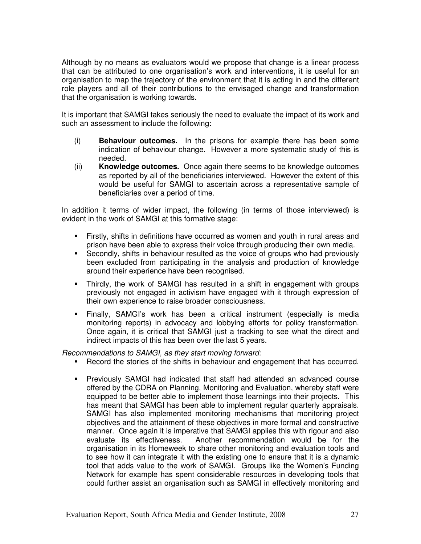Although by no means as evaluators would we propose that change is a linear process that can be attributed to one organisation's work and interventions, it is useful for an organisation to map the trajectory of the environment that it is acting in and the different role players and all of their contributions to the envisaged change and transformation that the organisation is working towards.

It is important that SAMGI takes seriously the need to evaluate the impact of its work and such an assessment to include the following:

- (i) **Behaviour outcomes.** In the prisons for example there has been some indication of behaviour change. However a more systematic study of this is needed.
- (ii) **Knowledge outcomes.** Once again there seems to be knowledge outcomes as reported by all of the beneficiaries interviewed. However the extent of this would be useful for SAMGI to ascertain across a representative sample of beneficiaries over a period of time.

In addition it terms of wider impact, the following (in terms of those interviewed) is evident in the work of SAMGI at this formative stage:

- Firstly, shifts in definitions have occurred as women and youth in rural areas and prison have been able to express their voice through producing their own media.
- Secondly, shifts in behaviour resulted as the voice of groups who had previously been excluded from participating in the analysis and production of knowledge around their experience have been recognised.
- Thirdly, the work of SAMGI has resulted in a shift in engagement with groups previously not engaged in activism have engaged with it through expression of their own experience to raise broader consciousness.
- Finally, SAMGI's work has been a critical instrument (especially is media monitoring reports) in advocacy and lobbying efforts for policy transformation. Once again, it is critical that SAMGI just a tracking to see what the direct and indirect impacts of this has been over the last 5 years.

Recommendations to SAMGI, as they start moving forward:

- Record the stories of the shifts in behaviour and engagement that has occurred.
- Previously SAMGI had indicated that staff had attended an advanced course offered by the CDRA on Planning, Monitoring and Evaluation, whereby staff were equipped to be better able to implement those learnings into their projects. This has meant that SAMGI has been able to implement regular quarterly appraisals. SAMGI has also implemented monitoring mechanisms that monitoring project objectives and the attainment of these objectives in more formal and constructive manner. Once again it is imperative that SAMGI applies this with rigour and also evaluate its effectiveness. Another recommendation would be for the organisation in its Homeweek to share other monitoring and evaluation tools and to see how it can integrate it with the existing one to ensure that it is a dynamic tool that adds value to the work of SAMGI. Groups like the Women's Funding Network for example has spent considerable resources in developing tools that could further assist an organisation such as SAMGI in effectively monitoring and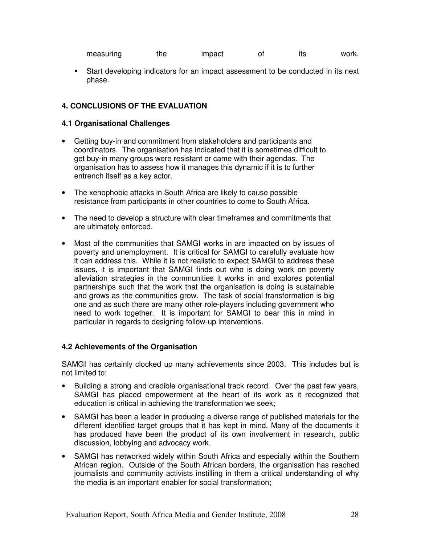| measuring | the | impact | ıts | work. |
|-----------|-----|--------|-----|-------|
|           |     |        |     |       |

 Start developing indicators for an impact assessment to be conducted in its next phase.

## **4. CONCLUSIONS OF THE EVALUATION**

#### **4.1 Organisational Challenges**

- Getting buy-in and commitment from stakeholders and participants and coordinators. The organisation has indicated that it is sometimes difficult to get buy-in many groups were resistant or came with their agendas. The organisation has to assess how it manages this dynamic if it is to further entrench itself as a key actor.
- The xenophobic attacks in South Africa are likely to cause possible resistance from participants in other countries to come to South Africa.
- The need to develop a structure with clear timeframes and commitments that are ultimately enforced.
- Most of the communities that SAMGI works in are impacted on by issues of poverty and unemployment. It is critical for SAMGI to carefully evaluate how it can address this. While it is not realistic to expect SAMGI to address these issues, it is important that SAMGI finds out who is doing work on poverty alleviation strategies in the communities it works in and explores potential partnerships such that the work that the organisation is doing is sustainable and grows as the communities grow. The task of social transformation is big one and as such there are many other role-players including government who need to work together. It is important for SAMGI to bear this in mind in particular in regards to designing follow-up interventions.

#### **4.2 Achievements of the Organisation**

SAMGI has certainly clocked up many achievements since 2003. This includes but is not limited to:

- Building a strong and credible organisational track record. Over the past few years, SAMGI has placed empowerment at the heart of its work as it recognized that education is critical in achieving the transformation we seek;
- SAMGI has been a leader in producing a diverse range of published materials for the different identified target groups that it has kept in mind. Many of the documents it has produced have been the product of its own involvement in research, public discussion, lobbying and advocacy work.
- SAMGI has networked widely within South Africa and especially within the Southern African region. Outside of the South African borders, the organisation has reached journalists and community activists instilling in them a critical understanding of why the media is an important enabler for social transformation;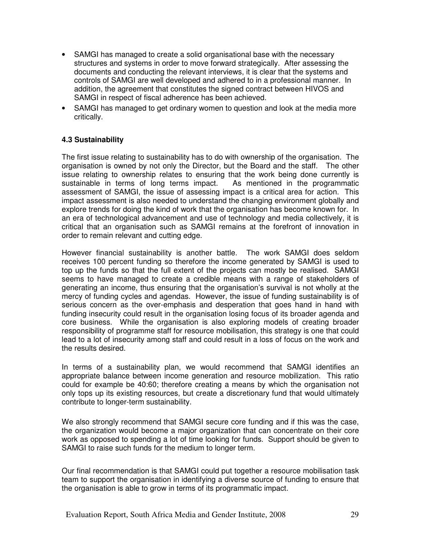- SAMGI has managed to create a solid organisational base with the necessary structures and systems in order to move forward strategically. After assessing the documents and conducting the relevant interviews, it is clear that the systems and controls of SAMGI are well developed and adhered to in a professional manner. In addition, the agreement that constitutes the signed contract between HIVOS and SAMGI in respect of fiscal adherence has been achieved.
- SAMGI has managed to get ordinary women to question and look at the media more critically.

#### **4.3 Sustainability**

The first issue relating to sustainability has to do with ownership of the organisation. The organisation is owned by not only the Director, but the Board and the staff. The other issue relating to ownership relates to ensuring that the work being done currently is sustainable in terms of long terms impact. As mentioned in the programmatic assessment of SAMGI, the issue of assessing impact is a critical area for action. This impact assessment is also needed to understand the changing environment globally and explore trends for doing the kind of work that the organisation has become known for. In an era of technological advancement and use of technology and media collectively, it is critical that an organisation such as SAMGI remains at the forefront of innovation in order to remain relevant and cutting edge.

However financial sustainability is another battle. The work SAMGI does seldom receives 100 percent funding so therefore the income generated by SAMGI is used to top up the funds so that the full extent of the projects can mostly be realised. SAMGI seems to have managed to create a credible means with a range of stakeholders of generating an income, thus ensuring that the organisation's survival is not wholly at the mercy of funding cycles and agendas. However, the issue of funding sustainability is of serious concern as the over-emphasis and desperation that goes hand in hand with funding insecurity could result in the organisation losing focus of its broader agenda and core business. While the organisation is also exploring models of creating broader responsibility of programme staff for resource mobilisation, this strategy is one that could lead to a lot of insecurity among staff and could result in a loss of focus on the work and the results desired.

In terms of a sustainability plan, we would recommend that SAMGI identifies an appropriate balance between income generation and resource mobilization. This ratio could for example be 40:60; therefore creating a means by which the organisation not only tops up its existing resources, but create a discretionary fund that would ultimately contribute to longer-term sustainability.

We also strongly recommend that SAMGI secure core funding and if this was the case, the organization would become a major organization that can concentrate on their core work as opposed to spending a lot of time looking for funds. Support should be given to SAMGI to raise such funds for the medium to longer term.

Our final recommendation is that SAMGI could put together a resource mobilisation task team to support the organisation in identifying a diverse source of funding to ensure that the organisation is able to grow in terms of its programmatic impact.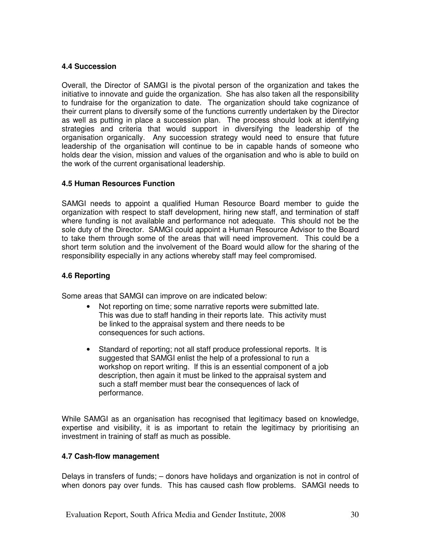### **4.4 Succession**

Overall, the Director of SAMGI is the pivotal person of the organization and takes the initiative to innovate and guide the organization. She has also taken all the responsibility to fundraise for the organization to date. The organization should take cognizance of their current plans to diversify some of the functions currently undertaken by the Director as well as putting in place a succession plan. The process should look at identifying strategies and criteria that would support in diversifying the leadership of the organisation organically. Any succession strategy would need to ensure that future leadership of the organisation will continue to be in capable hands of someone who holds dear the vision, mission and values of the organisation and who is able to build on the work of the current organisational leadership.

## **4.5 Human Resources Function**

SAMGI needs to appoint a qualified Human Resource Board member to guide the organization with respect to staff development, hiring new staff, and termination of staff where funding is not available and performance not adequate. This should not be the sole duty of the Director. SAMGI could appoint a Human Resource Advisor to the Board to take them through some of the areas that will need improvement. This could be a short term solution and the involvement of the Board would allow for the sharing of the responsibility especially in any actions whereby staff may feel compromised.

### **4.6 Reporting**

Some areas that SAMGI can improve on are indicated below:

- Not reporting on time; some narrative reports were submitted late. This was due to staff handing in their reports late. This activity must be linked to the appraisal system and there needs to be consequences for such actions.
- Standard of reporting; not all staff produce professional reports. It is suggested that SAMGI enlist the help of a professional to run a workshop on report writing. If this is an essential component of a job description, then again it must be linked to the appraisal system and such a staff member must bear the consequences of lack of performance.

While SAMGI as an organisation has recognised that legitimacy based on knowledge, expertise and visibility, it is as important to retain the legitimacy by prioritising an investment in training of staff as much as possible.

#### **4.7 Cash-flow management**

Delays in transfers of funds; – donors have holidays and organization is not in control of when donors pay over funds. This has caused cash flow problems. SAMGI needs to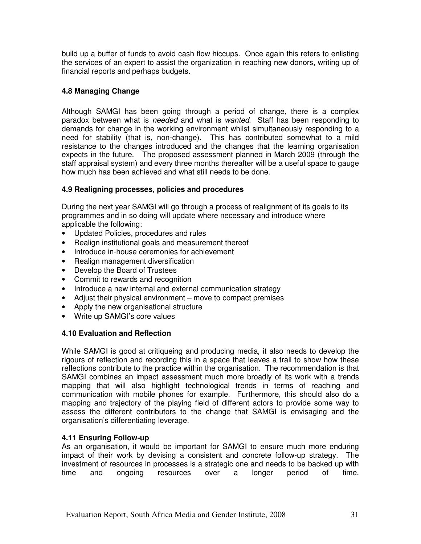build up a buffer of funds to avoid cash flow hiccups. Once again this refers to enlisting the services of an expert to assist the organization in reaching new donors, writing up of financial reports and perhaps budgets.

## **4.8 Managing Change**

Although SAMGI has been going through a period of change, there is a complex paradox between what is needed and what is wanted. Staff has been responding to demands for change in the working environment whilst simultaneously responding to a need for stability (that is, non-change). This has contributed somewhat to a mild resistance to the changes introduced and the changes that the learning organisation expects in the future. The proposed assessment planned in March 2009 (through the staff appraisal system) and every three months thereafter will be a useful space to gauge how much has been achieved and what still needs to be done.

## **4.9 Realigning processes, policies and procedures**

During the next year SAMGI will go through a process of realignment of its goals to its programmes and in so doing will update where necessary and introduce where applicable the following:

- Updated Policies, procedures and rules
- Realign institutional goals and measurement thereof
- Introduce in-house ceremonies for achievement
- Realign management diversification
- Develop the Board of Trustees
- Commit to rewards and recognition
- Introduce a new internal and external communication strategy
- Adjust their physical environment move to compact premises
- Apply the new organisational structure
- Write up SAMGI's core values

## **4.10 Evaluation and Reflection**

While SAMGI is good at critiqueing and producing media, it also needs to develop the rigours of reflection and recording this in a space that leaves a trail to show how these reflections contribute to the practice within the organisation. The recommendation is that SAMGI combines an impact assessment much more broadly of its work with a trends mapping that will also highlight technological trends in terms of reaching and communication with mobile phones for example. Furthermore, this should also do a mapping and trajectory of the playing field of different actors to provide some way to assess the different contributors to the change that SAMGI is envisaging and the organisation's differentiating leverage.

## **4.11 Ensuring Follow-up**

As an organisation, it would be important for SAMGI to ensure much more enduring impact of their work by devising a consistent and concrete follow-up strategy. The investment of resources in processes is a strategic one and needs to be backed up with time and ongoing resources over a longer period of time.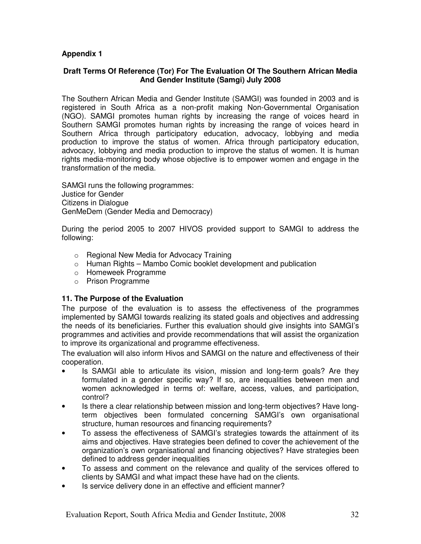## **Appendix 1**

#### **Draft Terms Of Reference (Tor) For The Evaluation Of The Southern African Media And Gender Institute (Samgi) July 2008**

The Southern African Media and Gender Institute (SAMGI) was founded in 2003 and is registered in South Africa as a non-profit making Non-Governmental Organisation (NGO). SAMGI promotes human rights by increasing the range of voices heard in Southern SAMGI promotes human rights by increasing the range of voices heard in Southern Africa through participatory education, advocacy, lobbying and media production to improve the status of women. Africa through participatory education, advocacy, lobbying and media production to improve the status of women. It is human rights media-monitoring body whose objective is to empower women and engage in the transformation of the media.

SAMGI runs the following programmes: Justice for Gender Citizens in Dialogue GenMeDem (Gender Media and Democracy)

During the period 2005 to 2007 HIVOS provided support to SAMGI to address the following:

- o Regional New Media for Advocacy Training
- $\circ$  Human Rights Mambo Comic booklet development and publication
- o Homeweek Programme
- o Prison Programme

#### **11. The Purpose of the Evaluation**

The purpose of the evaluation is to assess the effectiveness of the programmes implemented by SAMGI towards realizing its stated goals and objectives and addressing the needs of its beneficiaries. Further this evaluation should give insights into SAMGI's programmes and activities and provide recommendations that will assist the organization to improve its organizational and programme effectiveness.

The evaluation will also inform Hivos and SAMGI on the nature and effectiveness of their cooperation.

- Is SAMGI able to articulate its vision, mission and long-term goals? Are they formulated in a gender specific way? If so, are inequalities between men and women acknowledged in terms of: welfare, access, values, and participation, control?
- Is there a clear relationship between mission and long-term objectives? Have longterm objectives been formulated concerning SAMGI's own organisational structure, human resources and financing requirements?
- To assess the effectiveness of SAMGI's strategies towards the attainment of its aims and objectives. Have strategies been defined to cover the achievement of the organization's own organisational and financing objectives? Have strategies been defined to address gender inequalities
- To assess and comment on the relevance and quality of the services offered to clients by SAMGI and what impact these have had on the clients.
- Is service delivery done in an effective and efficient manner?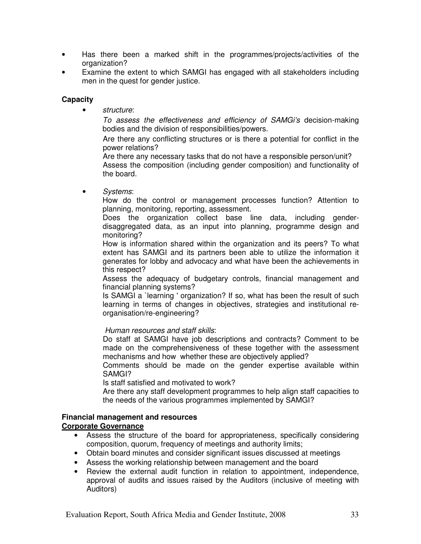- Has there been a marked shift in the programmes/projects/activities of the organization?
- Examine the extent to which SAMGI has engaged with all stakeholders including men in the quest for gender justice.

#### **Capacity**

structure:

To assess the effectiveness and efficiency of SAMGi's decision-making bodies and the division of responsibilities/powers.

Are there any conflicting structures or is there a potential for conflict in the power relations?

Are there any necessary tasks that do not have a responsible person/unit? Assess the composition (including gender composition) and functionality of the board.

• Systems:

How do the control or management processes function? Attention to planning, monitoring, reporting, assessment.

 Does the organization collect base line data, including genderdisaggregated data, as an input into planning, programme design and monitoring?

 How is information shared within the organization and its peers? To what extent has SAMGI and its partners been able to utilize the information it generates for lobby and advocacy and what have been the achievements in this respect?

 Assess the adequacy of budgetary controls, financial management and financial planning systems?

 Is SAMGI a `learning ' organization? If so, what has been the result of such learning in terms of changes in objectives, strategies and institutional reorganisation/re-engineering?

Human resources and staff skills:

Do staff at SAMGI have job descriptions and contracts? Comment to be made on the comprehensiveness of these together with the assessment mechanisms and how whether these are objectively applied?

Comments should be made on the gender expertise available within SAMGI?

Is staff satisfied and motivated to work?

Are there any staff development programmes to help align staff capacities to the needs of the various programmes implemented by SAMGI?

#### **Financial management and resources Corporate Governance**

- Assess the structure of the board for appropriateness, specifically considering composition, quorum, frequency of meetings and authority limits;
- Obtain board minutes and consider significant issues discussed at meetings
- Assess the working relationship between management and the board
- Review the external audit function in relation to appointment, independence, approval of audits and issues raised by the Auditors (inclusive of meeting with Auditors)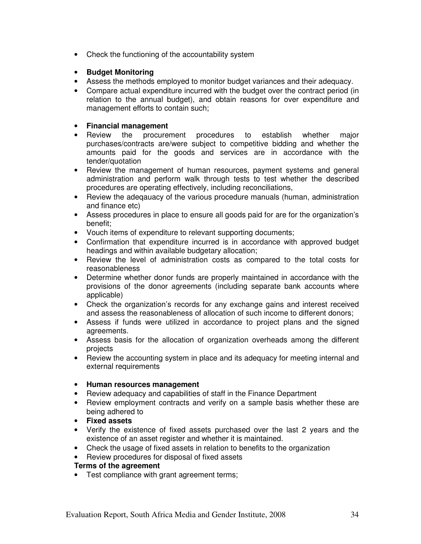• Check the functioning of the accountability system

## • **Budget Monitoring**

- Assess the methods employed to monitor budget variances and their adequacy.
- Compare actual expenditure incurred with the budget over the contract period (in relation to the annual budget), and obtain reasons for over expenditure and management efforts to contain such;

### • **Financial management**

- Review the procurement procedures to establish whether major purchases/contracts are/were subject to competitive bidding and whether the amounts paid for the goods and services are in accordance with the tender/quotation
- Review the management of human resources, payment systems and general administration and perform walk through tests to test whether the described procedures are operating effectively, including reconciliations,
- Review the adeqauacy of the various procedure manuals (human, administration and finance etc)
- Assess procedures in place to ensure all goods paid for are for the organization's benefit;
- Vouch items of expenditure to relevant supporting documents;
- Confirmation that expenditure incurred is in accordance with approved budget headings and within available budgetary allocation;
- Review the level of administration costs as compared to the total costs for reasonableness
- Determine whether donor funds are properly maintained in accordance with the provisions of the donor agreements (including separate bank accounts where applicable)
- Check the organization's records for any exchange gains and interest received and assess the reasonableness of allocation of such income to different donors;
- Assess if funds were utilized in accordance to project plans and the signed agreements.
- Assess basis for the allocation of organization overheads among the different projects
- Review the accounting system in place and its adequacy for meeting internal and external requirements

#### • **Human resources management**

- Review adequacy and capabilities of staff in the Finance Department
- Review employment contracts and verify on a sample basis whether these are being adhered to
- **Fixed assets**
- Verify the existence of fixed assets purchased over the last 2 years and the existence of an asset register and whether it is maintained.
- Check the usage of fixed assets in relation to benefits to the organization
- Review procedures for disposal of fixed assets

## **Terms of the agreement**

• Test compliance with grant agreement terms;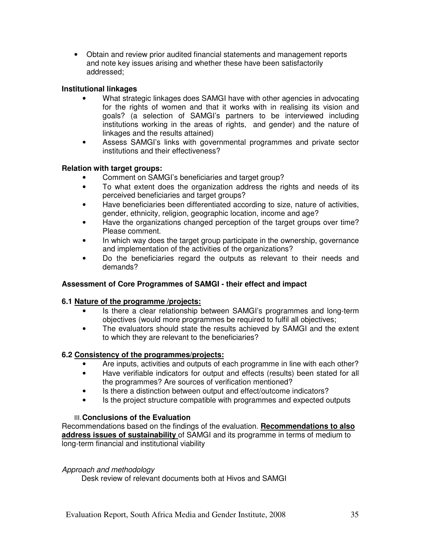• Obtain and review prior audited financial statements and management reports and note key issues arising and whether these have been satisfactorily addressed;

## **Institutional linkages**

- What strategic linkages does SAMGI have with other agencies in advocating for the rights of women and that it works with in realising its vision and goals? (a selection of SAMGI's partners to be interviewed including institutions working in the areas of rights, and gender) and the nature of linkages and the results attained)
- Assess SAMGI's links with governmental programmes and private sector institutions and their effectiveness?

## **Relation with target groups:**

- Comment on SAMGI's beneficiaries and target group?
- To what extent does the organization address the rights and needs of its perceived beneficiaries and target groups?
- Have beneficiaries been differentiated according to size, nature of activities, gender, ethnicity, religion, geographic location, income and age?
- Have the organizations changed perception of the target groups over time? Please comment.
- In which way does the target group participate in the ownership, governance and implementation of the activities of the organizations?
- Do the beneficiaries regard the outputs as relevant to their needs and demands?

#### **Assessment of Core Programmes of SAMGI - their effect and impact**

#### **6.1 Nature of the programme /projects:**

- Is there a clear relationship between SAMGI's programmes and long-term objectives (would more programmes be required to fulfil all objectives;
- The evaluators should state the results achieved by SAMGI and the extent to which they are relevant to the beneficiaries?

#### **6.2 Consistency of the programmes/projects:**

- Are inputs, activities and outputs of each programme in line with each other?
- Have verifiable indicators for output and effects (results) been stated for all the programmes? Are sources of verification mentioned?
- Is there a distinction between output and effect/outcome indicators?
- Is the project structure compatible with programmes and expected outputs

#### III. **Conclusions of the Evaluation**

Recommendations based on the findings of the evaluation. **Recommendations to also address issues of sustainability** of SAMGI and its programme in terms of medium to long-term financial and institutional viability

#### Approach and methodology

Desk review of relevant documents both at Hivos and SAMGI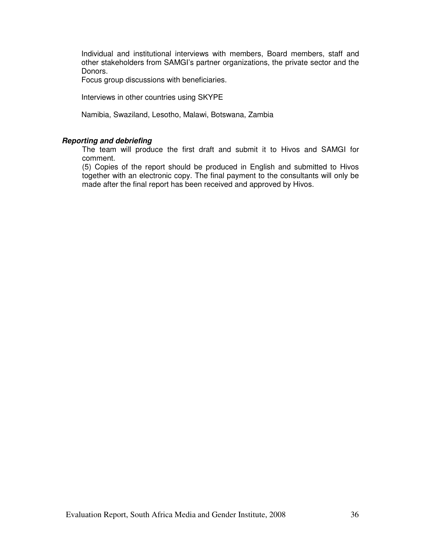Individual and institutional interviews with members, Board members, staff and other stakeholders from SAMGI's partner organizations, the private sector and the Donors.

Focus group discussions with beneficiaries.

Interviews in other countries using SKYPE

Namibia, Swaziland, Lesotho, Malawi, Botswana, Zambia

#### **Reporting and debriefing**

 The team will produce the first draft and submit it to Hivos and SAMGI for comment.

 (5) Copies of the report should be produced in English and submitted to Hivos together with an electronic copy. The final payment to the consultants will only be made after the final report has been received and approved by Hivos.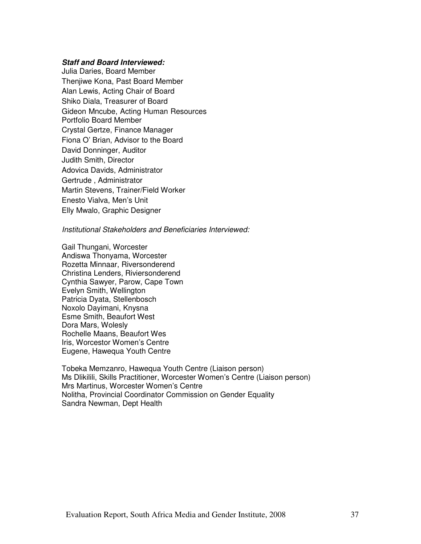#### **Staff and Board Interviewed:**

Julia Daries, Board Member Thenjiwe Kona, Past Board Member Alan Lewis, Acting Chair of Board Shiko Diala, Treasurer of Board Gideon Mncube, Acting Human Resources Portfolio Board Member Crystal Gertze, Finance Manager Fiona O' Brian, Advisor to the Board David Donninger, Auditor Judith Smith, Director Adovica Davids, Administrator Gertrude , Administrator Martin Stevens, Trainer/Field Worker Enesto Vialva, Men's Unit Elly Mwalo, Graphic Designer

Institutional Stakeholders and Beneficiaries Interviewed:

Gail Thungani, Worcester Andiswa Thonyama, Worcester Rozetta Minnaar, Riversonderend Christina Lenders, Riviersonderend Cynthia Sawyer, Parow, Cape Town Evelyn Smith, Wellington Patricia Dyata, Stellenbosch Noxolo Dayimani, Knysna Esme Smith, Beaufort West Dora Mars, Wolesly Rochelle Maans, Beaufort Wes Iris, Worcestor Women's Centre Eugene, Hawequa Youth Centre

Tobeka Memzanro, Hawequa Youth Centre (Liaison person) Ms Dlikilili, Skills Practitioner, Worcester Women's Centre (Liaison person) Mrs Martinus, Worcester Women's Centre Nolitha, Provincial Coordinator Commission on Gender Equality Sandra Newman, Dept Health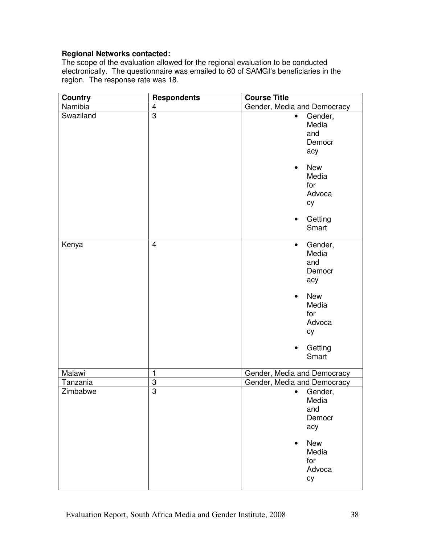## **Regional Networks contacted:**

The scope of the evaluation allowed for the regional evaluation to be conducted electronically. The questionnaire was emailed to 60 of SAMGI's beneficiaries in the region. The response rate was 18.

| <b>Country</b> | <b>Respondents</b> | <b>Course Title</b>                                                                                                                               |
|----------------|--------------------|---------------------------------------------------------------------------------------------------------------------------------------------------|
| Namibia        | 4                  | Gender, Media and Democracy                                                                                                                       |
| Swaziland      | $\overline{3}$     | Gender,<br>$\bullet$<br>Media<br>and<br>Democr<br>acy<br><b>New</b><br>$\bullet$<br>Media<br>for<br>Advoca<br>cy<br>Getting<br>$\bullet$<br>Smart |
| Kenya          | $\overline{4}$     | Gender,<br>$\bullet$<br>Media<br>and<br>Democr<br>acy<br><b>New</b><br>$\bullet$<br>Media<br>for<br>Advoca<br>cy<br>Getting<br>$\bullet$<br>Smart |
| Malawi         | $\mathbf{1}$       | Gender, Media and Democracy                                                                                                                       |
| Tanzania       | 3                  | Gender, Media and Democracy                                                                                                                       |
| Zimbabwe       | $\overline{3}$     | Gender,<br>$\bullet$<br>Media<br>and<br>Democr<br>acy<br><b>New</b><br>Media<br>for<br>Advoca<br>cy                                               |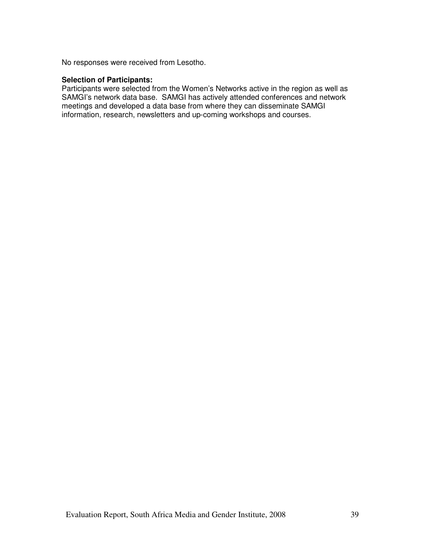No responses were received from Lesotho.

#### **Selection of Participants:**

Participants were selected from the Women's Networks active in the region as well as SAMGI's network data base. SAMGI has actively attended conferences and network meetings and developed a data base from where they can disseminate SAMGI information, research, newsletters and up-coming workshops and courses.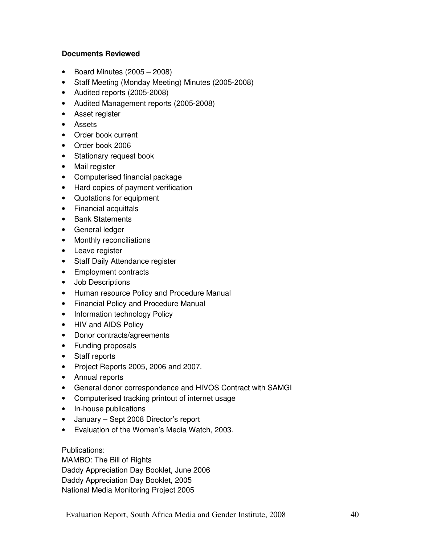## **Documents Reviewed**

- Board Minutes  $(2005 2008)$
- Staff Meeting (Monday Meeting) Minutes (2005-2008)
- Audited reports (2005-2008)
- Audited Management reports (2005-2008)
- Asset register
- Assets
- Order book current
- Order book 2006
- Stationary request book
- Mail register
- Computerised financial package
- Hard copies of payment verification
- Quotations for equipment
- Financial acquittals
- Bank Statements
- General ledger
- Monthly reconciliations
- Leave register
- Staff Daily Attendance register
- Employment contracts
- Job Descriptions
- Human resource Policy and Procedure Manual
- Financial Policy and Procedure Manual
- Information technology Policy
- HIV and AIDS Policy
- Donor contracts/agreements
- Funding proposals
- Staff reports
- Project Reports 2005, 2006 and 2007.
- Annual reports
- General donor correspondence and HIVOS Contract with SAMGI
- Computerised tracking printout of internet usage
- In-house publications
- January Sept 2008 Director's report
- Evaluation of the Women's Media Watch, 2003.

Publications:

MAMBO: The Bill of Rights Daddy Appreciation Day Booklet, June 2006 Daddy Appreciation Day Booklet, 2005 National Media Monitoring Project 2005